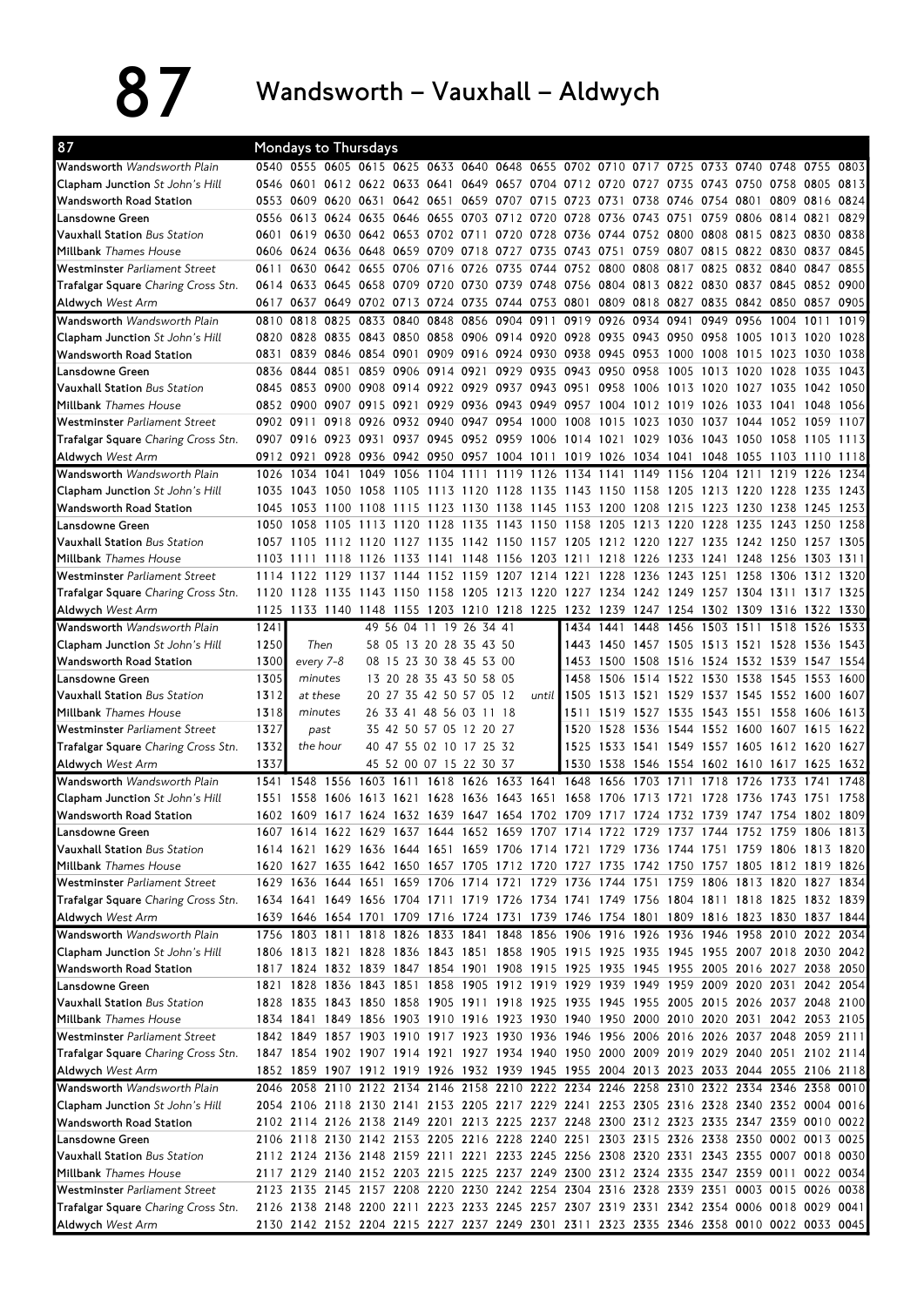87 Wandsworth – Vauxhall – Aldwych

| 87                                                                          |           |           | Mondays to Thursdays                         |                |      |                         |                                                                                                                                                                                        |                                         |                |           |                                              |                |                     |      |      |
|-----------------------------------------------------------------------------|-----------|-----------|----------------------------------------------|----------------|------|-------------------------|----------------------------------------------------------------------------------------------------------------------------------------------------------------------------------------|-----------------------------------------|----------------|-----------|----------------------------------------------|----------------|---------------------|------|------|
| Wandsworth Wandsworth Plain                                                 |           |           |                                              |                |      |                         | 0540 0555 0605 0615 0625 0633 0640 0648 0655 0702 0710 0717 0725 0733 0740 0748 0755 0803                                                                                              |                                         |                |           |                                              |                |                     |      |      |
| Clapham Junction St John's Hill                                             |           |           |                                              |                |      |                         | 0546 0601 0612 0622 0633 0641 0649 0657 0704 0712 0720 0727 0735 0743 0750 0758 0805 0813                                                                                              |                                         |                |           |                                              |                |                     |      |      |
| <b>Wandsworth Road Station</b>                                              |           |           | 0553 0609 0620 0631 0642 0651 0659 0707 0715 |                |      |                         |                                                                                                                                                                                        | 0723 0731 0738                          |                |           | 0746 0754 0801 0809 0816                     |                |                     |      | 0824 |
| Lansdowne Green                                                             |           |           |                                              |                |      |                         | 0556 0613 0624 0635 0646 0655 0703 0712 0720 0728 0736 0743                                                                                                                            |                                         |                |           | 0751                                         |                | 0759 0806 0814 0821 |      | 0829 |
| <b>Vauxhall Station Bus Station</b>                                         |           |           |                                              |                |      |                         | 0601 0619 0630 0642 0653 0702 0711 0720 0728 0736 0744 0752 0800 0808 0815 0823 0830 0838                                                                                              |                                         |                |           |                                              |                |                     |      |      |
| <b>Millbank</b> Thames House                                                | 0606      |           |                                              |                |      |                         | 0624 0636 0648 0659 0709 0718 0727 0735 0743 0751 0759 0807 0815 0822 0830 0837                                                                                                        |                                         |                |           |                                              |                |                     |      | 0845 |
| Westminster Parliament Street                                               | 0611      |           |                                              |                |      |                         | 0630 0642 0655 0706 0716 0726 0735 0744 0752 0800 0808                                                                                                                                 |                                         |                |           | 0817 0825 0832 0840 0847                     |                |                     |      | 0855 |
| <b>Trafalgar Square</b> Charing Cross Stn.                                  | 0614      |           | 0633 0645 0658 0709                          |                |      |                         | 0720 0730 0739 0748 0756 0804 0813                                                                                                                                                     |                                         |                |           | 0822 0830 0837 0845 0852 0900                |                |                     |      |      |
| <b>Aldwych</b> West Arm                                                     | 0617      | 0637      |                                              |                |      |                         | 0649 0702 0713 0724 0735 0744 0753 0801                                                                                                                                                |                                         |                | 0809 0818 | 0827 0835 0842 0850 0857                     |                |                     |      | 0905 |
| Wandsworth Wandsworth Plain                                                 | 0810      | 0818      | 0825 0833 0840 0848 0856 0904 0911           |                |      |                         |                                                                                                                                                                                        |                                         | 0919 0926 0934 |           | 0941                                         |                | 0949 0956 1004 1011 |      | 1019 |
| Clapham Junction St John's Hill                                             |           |           |                                              |                |      |                         | 0820 0828 0835 0843 0850 0858 0906 0914 0920 0928 0935 0943 0950 0958 1005 1013 1020 1028                                                                                              |                                         |                |           |                                              |                |                     |      |      |
| <b>Wandsworth Road Station</b>                                              | 0831      |           |                                              |                |      |                         | 0839 0846 0854 0901 0909 0916 0924 0930 0938 0945 0953 1000 1008 1015 1023 1030                                                                                                        |                                         |                |           |                                              |                |                     |      | 1038 |
| Lansdowne Green                                                             | 0836      |           | 0844 0851                                    |                |      |                         | 0859 0906 0914 0921 0929 0935 0943 0950 0958                                                                                                                                           |                                         |                |           | 1005                                         | 1013 1020 1028 |                     | 1035 | 1043 |
| <b>Vauxhall Station Bus Station</b>                                         |           |           |                                              |                |      |                         | 0845 0853 0900 0908 0914 0922 0929 0937 0943 0951 0958 1006                                                                                                                            |                                         |                |           | 1013 1020 1027 1035                          |                |                     | 1042 | 1050 |
| <b>Millbank</b> Thames House                                                |           |           |                                              |                |      |                         | 0852 0900 0907 0915 0921 0929 0936 0943 0949 0957 1004 1012 1019 1026 1033 1041                                                                                                        |                                         |                |           |                                              |                |                     | 1048 | 1056 |
| Westminster Parliament Street                                               | 0902 0911 |           |                                              |                |      |                         | 0918 0926 0932 0940 0947 0954 1000 1008 1015 1023 1030 1037 1044 1052 1059                                                                                                             |                                         |                |           |                                              |                |                     |      | 1107 |
| <b>Trafalgar Square</b> Charing Cross Stn.                                  |           |           |                                              |                |      |                         | 0907 0916 0923 0931 0937 0945 0952 0959 1006 1014 1021 1029 1036 1043 1050 1058 1105 1113                                                                                              |                                         |                |           |                                              |                |                     |      |      |
| <b>Aldwych West Arm</b>                                                     |           |           |                                              |                |      |                         | 0912 0921 0928 0936 0942 0950 0957 1004 1011 1019 1026 1034 1041 1048 1055 1103 1110 1118                                                                                              |                                         |                |           |                                              |                |                     |      |      |
| Wandsworth Wandsworth Plain                                                 | 1026      | 1034      | 1041 1049 1056 1104 1111 1119 1126           |                |      |                         |                                                                                                                                                                                        | 1134 1141 1149 1156 1204 1211 1219 1226 |                |           |                                              |                |                     |      | 1234 |
| <b>Clapham Junction</b> St John's Hill                                      | 1035      | 1043      |                                              | 1050 1058 1105 |      |                         | 1113 1120 1128 1135 1143 1150 1158                                                                                                                                                     |                                         |                |           | 1205 1213 1220 1228                          |                |                     | 1235 | 1243 |
| <b>Wandsworth Road Station</b>                                              | 1045      |           | 1053 1100 1108 1115 1123 1130 1138 1145      |                |      |                         |                                                                                                                                                                                        | 1153 1200 1208                          |                |           | 1215 1223 1230 1238 1245                     |                |                     |      | 1253 |
| Lansdowne Green                                                             | 1050      | 1058      | 1105                                         | 1113           | 1120 |                         | 1128 1135 1143 1150 1158 1205 1213                                                                                                                                                     |                                         |                |           | 1220 1228 1235 1243                          |                |                     | 1250 | 1258 |
| <b>Vauxhall Station Bus Station</b><br><b>Millbank</b> Thames House         |           |           |                                              |                |      |                         | 1057 1105 1112 1120 1127 1135 1142 1150 1157 1205 1212 1220 1227 1235 1242 1250 1257 1305<br>1103 1111 1118 1126 1133 1141 1148 1156 1203 1211 1218 1226 1233 1241 1248 1256 1303 1311 |                                         |                |           |                                              |                |                     |      |      |
|                                                                             |           | 1114 1122 |                                              |                |      |                         | 1129 1137 1144 1152 1159 1207 1214 1221                                                                                                                                                |                                         | 1228           | 1236      | 1243 1251                                    |                | 1258 1306 1312      |      | 1320 |
| Westminster Parliament Street<br><b>Trafalgar Square</b> Charing Cross Stn. | 1120      | 1128      |                                              |                |      |                         | 1135 1143 1150 1158 1205 1213 1220 1227 1234 1242 1249 1257 1304 1311 1317                                                                                                             |                                         |                |           |                                              |                |                     |      | 1325 |
| <b>Aldwych West Arm</b>                                                     | 1125      |           |                                              |                |      |                         | 1133 1140 1148 1155 1203 1210 1218 1225 1232 1239 1247 1254 1302 1309 1316 1322 1330                                                                                                   |                                         |                |           |                                              |                |                     |      |      |
| Wandsworth Wandsworth Plain                                                 | 1241      |           |                                              |                |      | 49 56 04 11 19 26 34 41 |                                                                                                                                                                                        |                                         | 1434 1441 1448 |           | 1456 1503 1511 1518 1526                     |                |                     |      | 1533 |
| <b>Clapham Junction</b> St John's Hill                                      | 1250      |           | Then                                         |                |      | 58 05 13 20 28 35 43 50 |                                                                                                                                                                                        |                                         |                |           | 1443 1450 1457 1505 1513 1521 1528 1536 1543 |                |                     |      |      |
| <b>Wandsworth Road Station</b>                                              | 1300      | every 7-8 |                                              |                |      | 08 15 23 30 38 45 53 00 |                                                                                                                                                                                        |                                         |                |           | 1453 1500 1508 1516 1524 1532 1539 1547 1554 |                |                     |      |      |
| Lansdowne Green                                                             | 1305      | minutes   |                                              |                |      | 13 20 28 35 43 50 58 05 |                                                                                                                                                                                        |                                         |                |           | 1458 1506 1514 1522 1530 1538 1545 1553      |                |                     |      | 1600 |
| <b>Vauxhall Station Bus Station</b>                                         | 1312      |           | at these                                     |                |      | 20 27 35 42 50 57 05 12 | until                                                                                                                                                                                  |                                         | 1505 1513 1521 |           | 1529 1537 1545 1552 1600                     |                |                     |      | 1607 |
| <b>Millbank</b> Thames House                                                | 1318      |           | minutes                                      |                |      | 26 33 41 48 56 03 11 18 |                                                                                                                                                                                        |                                         |                |           | 1511 1519 1527 1535 1543 1551 1558 1606      |                |                     |      | 1613 |
| Westminster Parliament Street                                               | 1327      |           | past                                         |                |      | 35 42 50 57 05 12 20 27 |                                                                                                                                                                                        |                                         | 1520 1528      | 1536      | 1544 1552 1600 1607 1615                     |                |                     |      | 1622 |
| Trafalgar Square Charing Cross Stn.                                         | 1332      | the hour  |                                              |                |      | 40 47 55 02 10 17 25 32 |                                                                                                                                                                                        |                                         |                |           | 1525 1533 1541 1549 1557 1605 1612 1620 1627 |                |                     |      |      |
| <b>Aldwych</b> West Arm                                                     | 1337      |           |                                              |                |      | 45 52 00 07 15 22 30 37 |                                                                                                                                                                                        |                                         |                |           | 1530 1538 1546 1554 1602 1610 1617 1625 1632 |                |                     |      |      |
| Wandsworth Wandsworth Plain                                                 |           |           |                                              |                |      |                         | 1541 1548 1556 1603 1611 1618 1626 1633 1641 1648 1656                                                                                                                                 |                                         |                | 1703      | 1711                                         | 1718 1726      | 1733                | 1741 | 1748 |
| <b>Clapham Junction</b> St John's Hill                                      | 1551      | 1558      | 1606 1613                                    |                | 1621 | 1628 1636 1643          | 1651                                                                                                                                                                                   |                                         | 1658 1706      | 1713      | 1721                                         | 1728 1736      | 1743                | 1751 | 1758 |
| Wandsworth Road Station                                                     |           |           |                                              |                |      |                         | 1602 1609 1617 1624 1632 1639 1647 1654 1702 1709 1717 1724 1732 1739 1747 1754 1802 1809                                                                                              |                                         |                |           |                                              |                |                     |      |      |
| Lansdowne Green                                                             |           |           |                                              |                |      |                         | 1607 1614 1622 1629 1637 1644 1652 1659 1707 1714 1722 1729 1737 1744 1752 1759 1806 1813                                                                                              |                                         |                |           |                                              |                |                     |      |      |
| Vauxhall Station Bus Station                                                |           |           |                                              |                |      |                         | 1614 1621 1629 1636 1644 1651 1659 1706 1714 1721 1729 1736 1744 1751 1759 1806 1813 1820                                                                                              |                                         |                |           |                                              |                |                     |      |      |
| <b>Millbank</b> Thames House                                                |           |           |                                              |                |      |                         | 1620 1627 1635 1642 1650 1657 1705 1712 1720 1727 1735 1742 1750 1757 1805 1812 1819 1826                                                                                              |                                         |                |           |                                              |                |                     |      |      |
| Westminster Parliament Street                                               |           |           |                                              |                |      |                         | 1629 1636 1644 1651 1659 1706 1714 1721 1729 1736 1744 1751 1759 1806 1813 1820 1827 1834                                                                                              |                                         |                |           |                                              |                |                     |      |      |
| <b>Trafalgar Square</b> Charing Cross Stn.                                  |           |           |                                              |                |      |                         | 1634 1641 1649 1656 1704 1711 1719 1726 1734 1741 1749 1756 1804 1811 1818 1825 1832 1839                                                                                              |                                         |                |           |                                              |                |                     |      |      |
| <b>Aldwych</b> West Arm                                                     |           |           |                                              |                |      |                         | 1639 1646 1654 1701 1709 1716 1724 1731 1739 1746 1754 1801 1809 1816 1823 1830 1837 1844                                                                                              |                                         |                |           |                                              |                |                     |      |      |
| Wandsworth Wandsworth Plain                                                 |           |           |                                              |                |      |                         | 1756 1803 1811 1818 1826 1833 1841 1848 1856 1906 1916 1926 1936 1946 1958 2010 2022 2034                                                                                              |                                         |                |           |                                              |                |                     |      |      |
| <b>Clapham Junction</b> St John's Hill                                      |           |           |                                              |                |      |                         | 1806 1813 1821 1828 1836 1843 1851 1858 1905 1915 1925 1935 1945 1955 2007 2018 2030 2042<br>1817 1824 1832 1839 1847 1854 1901 1908 1915 1925 1935 1945 1955 2005 2016 2027 2038 2050 |                                         |                |           |                                              |                |                     |      |      |
| Wandsworth Road Station                                                     |           |           |                                              |                |      |                         | 1821 1828 1836 1843 1851 1858 1905 1912 1919 1929 1939 1949 1959 2009 2020 2031 2042 2054                                                                                              |                                         |                |           |                                              |                |                     |      |      |
| Lansdowne Green<br>Vauxhall Station Bus Station                             |           |           |                                              |                |      |                         | 1828 1835 1843 1850 1858 1905 1911 1918 1925 1935 1945 1955 2005 2015 2026 2037 2048 2100                                                                                              |                                         |                |           |                                              |                |                     |      |      |
| <b>Millbank</b> Thames House                                                |           |           |                                              |                |      |                         | 1834 1841 1849 1856 1903 1910 1916 1923 1930 1940 1950 2000 2010 2020 2031 2042 2053 2105                                                                                              |                                         |                |           |                                              |                |                     |      |      |
| Westminster Parliament Street                                               |           |           |                                              |                |      |                         | 1842 1849 1857 1903 1910 1917 1923 1930 1936 1946 1956 2006 2016 2026 2037 2048 2059 2111                                                                                              |                                         |                |           |                                              |                |                     |      |      |
| <b>Trafalgar Square</b> Charing Cross Stn.                                  |           |           |                                              |                |      |                         | 1847 1854 1902 1907 1914 1921 1927 1934 1940 1950 2000 2009 2019 2029 2040 2051 2102 2114                                                                                              |                                         |                |           |                                              |                |                     |      |      |
| <b>Aldwych</b> West Arm                                                     |           |           |                                              |                |      |                         | 1852 1859 1907 1912 1919 1926 1932 1939 1945 1955 2004 2013 2023 2033 2044 2055 2106 2118                                                                                              |                                         |                |           |                                              |                |                     |      |      |
| Wandsworth Wandsworth Plain                                                 |           |           |                                              |                |      |                         | 2046 2058 2110 2122 2134 2146 2158 2210 2222 2234 2246 2258 2310 2322 2334 2346 2358 0010                                                                                              |                                         |                |           |                                              |                |                     |      |      |
|                                                                             |           |           |                                              |                |      |                         | 2054 2106 2118 2130 2141 2153 2205 2217 2229 2241 2253 2305 2316 2328 2340 2352 0004 0016                                                                                              |                                         |                |           |                                              |                |                     |      |      |
| <b>Clapham Junction</b> St John's Hill                                      |           |           |                                              |                |      |                         |                                                                                                                                                                                        |                                         |                |           |                                              |                |                     |      |      |
| Wandsworth Road Station                                                     |           |           |                                              |                |      |                         | 2102 2114 2126 2138 2149 2201 2213 2225 2237 2248 2300 2312 2323 2335 2347 2359 0010 0022                                                                                              |                                         |                |           |                                              |                |                     |      |      |
| Lansdowne Green                                                             |           |           |                                              |                |      |                         | 2106 2118 2130 2142 2153 2205 2216 2228 2240 2251 2303 2315 2326 2338 2350 0002 0013 0025                                                                                              |                                         |                |           |                                              |                |                     |      |      |
| Vauxhall Station Bus Station                                                |           |           |                                              |                |      |                         | 2112 2124 2136 2148 2159 2211 2221 2233 2245 2256 2308 2320 2331 2343 2355 0007 0018 0030                                                                                              |                                         |                |           |                                              |                |                     |      |      |
| <b>Millbank</b> Thames House                                                |           |           |                                              |                |      |                         | 2117 2129 2140 2152 2203 2215 2225 2237 2249 2300 2312 2324 2335 2347 2359 0011 0022 0034                                                                                              |                                         |                |           |                                              |                |                     |      |      |
| Westminster Parliament Street                                               |           |           |                                              |                |      |                         | 2123 2135 2145 2157 2208 2220 2230 2242 2254 2304 2316 2328 2339 2351 0003 0015 0026 0038                                                                                              |                                         |                |           |                                              |                |                     |      |      |
| <b>Trafalgar Square</b> Charing Cross Stn.                                  |           |           |                                              |                |      |                         | 2126 2138 2148 2200 2211 2223 2233 2245 2257 2307 2319 2331 2342 2354 0006 0018 0029 0041                                                                                              |                                         |                |           |                                              |                |                     |      |      |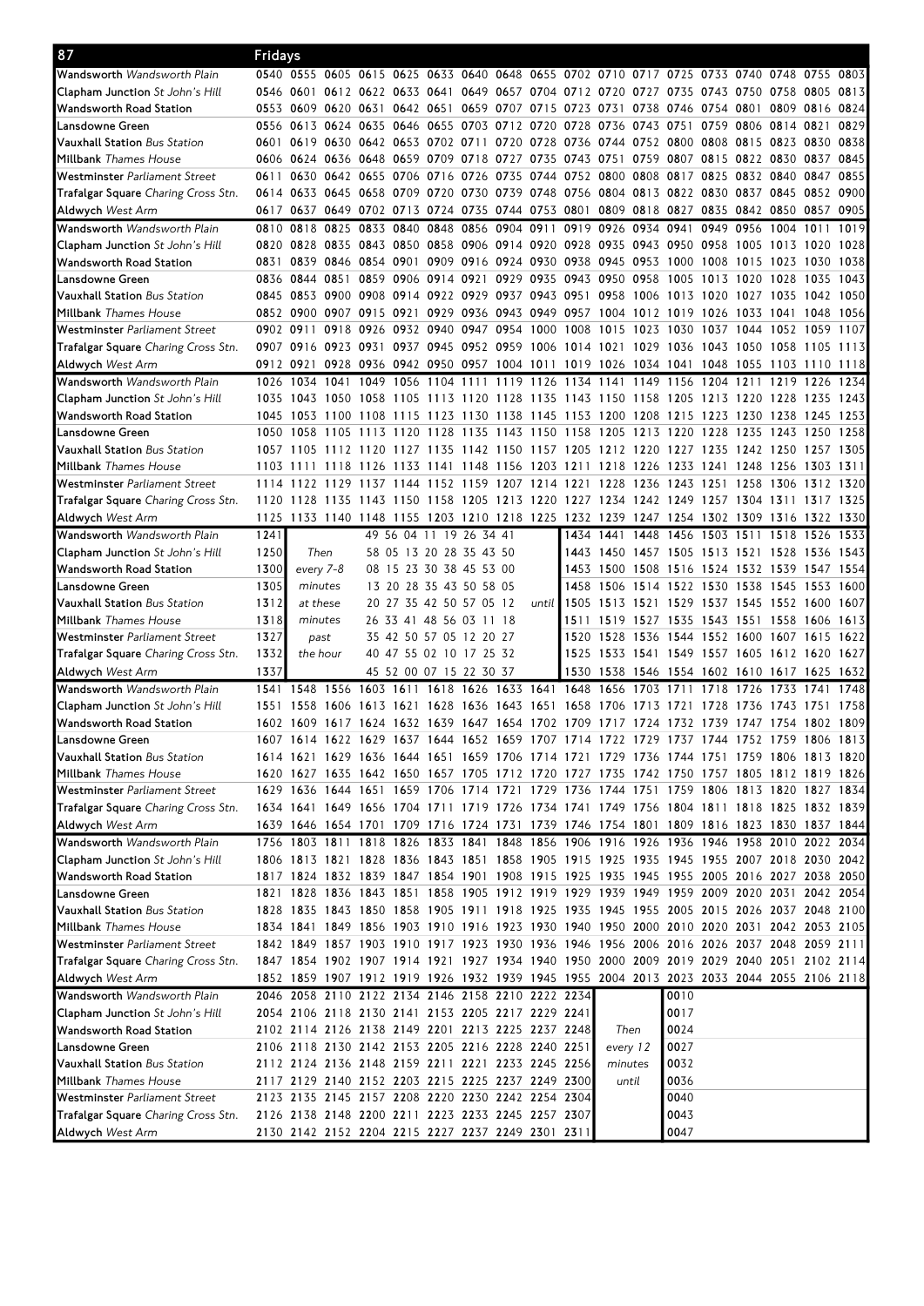| 87                                         | Fridays   |           |      |      |                     |                |                                                                                           |           |                |      |                                              |           |                          |           |                          |           |           |      |
|--------------------------------------------|-----------|-----------|------|------|---------------------|----------------|-------------------------------------------------------------------------------------------|-----------|----------------|------|----------------------------------------------|-----------|--------------------------|-----------|--------------------------|-----------|-----------|------|
| Wandsworth <i>Wandsworth Plain</i>         |           |           |      |      |                     |                | 0540 0555 0605 0615 0625 0633 0640 0648 0655 0702 0710 0717 0725 0733 0740 0748 0755      |           |                |      |                                              |           |                          |           |                          |           |           | 0803 |
| <b>Clapham Junction</b> St John's Hill     |           |           |      |      |                     |                | 0546 0601 0612 0622 0633 0641 0649 0657 0704 0712 0720 0727 0735                          |           |                |      |                                              |           |                          |           | 0743 0750 0758 0805      |           |           | 0813 |
| Wandsworth Road Station                    |           |           |      |      |                     |                | 0553 0609 0620 0631 0642 0651 0659 0707 0715                                              |           |                |      | 0723 0731 0738 0746                          |           |                          |           | 0754 0801 0809 0816 0824 |           |           |      |
| Lansdowne Green                            |           |           |      |      |                     |                | 0556 0613 0624 0635 0646 0655 0703 0712 0720                                              |           |                |      | 0728 0736 0743 0751                          |           |                          |           | 0759 0806 0814 0821      |           |           | 0829 |
| <b>Vauxhall Station</b> Bus Station        |           |           |      |      |                     |                | 0601 0619 0630 0642 0653 0702 0711 0720 0728 0736 0744 0752 0800 0808 0815 0823 0830      |           |                |      |                                              |           |                          |           |                          |           |           | 0838 |
| Millbank <i>Thames House</i>               |           |           |      |      |                     |                | 0606 0624 0636 0648 0659 0709 0718 0727 0735 0743 0751 0759 0807 0815 0822 0830 0837 0845 |           |                |      |                                              |           |                          |           |                          |           |           |      |
| Westminster Parliament Street              | 0611      |           |      |      |                     |                | 0630 0642 0655 0706 0716 0726 0735 0744 0752 0800 0808 0817 0825 0832 0840 0847           |           |                |      |                                              |           |                          |           |                          |           |           | 0855 |
| <b>Trafalgar Square</b> Charing Cross Stn. |           |           |      |      |                     |                | 0614 0633 0645 0658 0709 0720 0730 0739 0748 0756 0804 0813 0822 0830 0837 0845 0852 0900 |           |                |      |                                              |           |                          |           |                          |           |           |      |
| <b>Aldwych</b> West Arm                    |           |           |      |      |                     |                | 0617 0637 0649 0702 0713 0724 0735 0744 0753 0801 0809 0818 0827 0835 0842 0850 0857 0905 |           |                |      |                                              |           |                          |           |                          |           |           |      |
| <b>Wandsworth</b> Wandsworth Plain         | 0810      | 0818      | 0825 |      |                     |                | 0833 0840 0848 0856 0904 0911                                                             |           |                |      | 0919 0926 0934 0941                          |           |                          | 0949      | 0956 1004 1011           |           |           | 1019 |
| <b>Clapham Junction</b> St John's Hill     |           |           |      |      |                     |                | 0820 0828 0835 0843 0850 0858 0906 0914 0920 0928 0935 0943 0950 0958 1005 1013 1020      |           |                |      |                                              |           |                          |           |                          |           |           | 1028 |
| Wandsworth Road Station                    |           |           |      |      |                     |                | 0831 0839 0846 0854 0901 0909 0916 0924 0930 0938 0945 0953 1000 1008 1015 1023 1030      |           |                |      |                                              |           |                          |           |                          |           |           | 1038 |
| Lansdowne Green                            |           |           |      |      |                     |                | 0836 0844 0851 0859 0906 0914 0921 0929 0935 0943 0950 0958                               |           |                |      |                                              |           | 1005                     |           | 1013 1020 1028           |           | 1035      | 1043 |
| <b>Vauxhall Station</b> Bus Station        |           |           |      |      |                     |                | 0845 0853 0900 0908 0914 0922 0929 0937 0943 0951 0958 1006                               |           |                |      |                                              |           | 1013 1020                |           | 1027 1035                |           | 1042 1050 |      |
| Millbank <i>Thames House</i>               |           |           |      |      |                     |                | 0852 0900 0907 0915 0921 0929 0936 0943 0949 0957 1004 1012 1019 1026 1033 1041 1048      |           |                |      |                                              |           |                          |           |                          |           |           | 1056 |
| Westminster Parliament Street              | 0902 0911 |           |      |      |                     |                | 0918 0926 0932 0940 0947 0954 1000 1008 1015 1023 1030 1037 1044 1052 1059 1107           |           |                |      |                                              |           |                          |           |                          |           |           |      |
| Trafalgar Square Charing Cross Stn.        |           |           |      |      |                     |                | 0907 0916 0923 0931 0937 0945 0952 0959 1006 1014 1021 1029 1036 1043 1050 1058 1105 1113 |           |                |      |                                              |           |                          |           |                          |           |           |      |
|                                            |           |           |      |      |                     |                |                                                                                           |           |                |      |                                              |           |                          |           |                          |           |           |      |
| <b>Aldwych</b> West Arm                    |           |           |      |      |                     |                | 0912 0921 0928 0936 0942 0950 0957 1004 1011 1019 1026 1034 1041 1048 1055 1103 1110 1118 |           |                |      |                                              |           |                          |           |                          |           |           |      |
| <b>Wandsworth</b> Wandsworth Plain         | 1026      | 1034 1041 |      |      | 1049 1056 1104 1111 |                |                                                                                           | 1119 1126 |                | 1134 | 1141                                         | 1149 1156 |                          | 1204 1211 |                          | 1219 1226 |           | 1234 |
| <b>Clapham Junction</b> St John's Hill     |           | 1035 1043 |      |      |                     |                | 1050 1058 1105 1113 1120 1128 1135 1143 1150 1158                                         |           |                |      |                                              |           | 1205                     |           | 1213 1220 1228           |           | 1235      | 1243 |
| Wandsworth Road Station                    |           |           |      |      |                     |                | 1045 1053 1100 1108 1115 1123 1130 1138 1145 1153 1200 1208 1215 1223 1230 1238 1245      |           |                |      |                                              |           |                          |           |                          |           |           | 1253 |
| Lansdowne Green                            | 1050 1058 |           |      |      |                     |                | 1105 1113 1120 1128 1135 1143 1150 1158 1205 1213 1220 1228 1235 1243 1250 1258           |           |                |      |                                              |           |                          |           |                          |           |           |      |
| <b>Vauxhall Station</b> Bus Station        |           |           |      |      |                     |                | 1057 1105 1112 1120 1127 1135 1142 1150 1157 1205 1212 1220 1227 1235 1242 1250 1257 1305 |           |                |      |                                              |           |                          |           |                          |           |           |      |
| Millbank <i>Thames House</i>               |           |           |      |      |                     |                | 1103 1111 1118 1126 1133 1141 1148 1156 1203 1211 1218 1226 1233 1241 1248 1256 1303 1311 |           |                |      |                                              |           |                          |           |                          |           |           |      |
| Westminster <i>Parliament Street</i>       | 1114      | 1122      |      |      |                     |                | 1129 1137 1144 1152 1159 1207 1214 1221 1228 1236 1243 1251 1258 1306                     |           |                |      |                                              |           |                          |           |                          |           | 1312 1320 |      |
| <b>Trafalgar Square</b> Charing Cross Stn. | 1120      | 1128      |      |      |                     |                | 1135 1143 1150 1158 1205 1213 1220                                                        |           |                |      | 1227 1234 1242 1249 1257 1304 1311           |           |                          |           |                          |           | 1317      | 1325 |
| <b>Aldwych</b> West Arm                    |           |           |      |      |                     |                | 1125 1133 1140 1148 1155 1203 1210 1218 1225 1232 1239 1247 1254 1302 1309 1316 1322 1330 |           |                |      |                                              |           |                          |           |                          |           |           |      |
| Wandsworth Wandsworth Plain                | 1241      |           |      |      |                     |                | 49 56 04 11 19 26 34 41                                                                   |           |                | 1434 | 1441                                         | 1448      | 1456                     | 1503      | 1511                     | 1518      | 1526      | 1533 |
| <b>Clapham Junction</b> St John's Hill     | 1250      | Then      |      |      |                     |                | 58 05 13 20 28 35 43 50                                                                   |           |                |      | 1443 1450 1457 1505 1513 1521 1528 1536 1543 |           |                          |           |                          |           |           |      |
| Wandsworth Road Station                    | 1300      | every 7-8 |      |      |                     |                | 08 15 23 30 38 45 53 00                                                                   |           |                |      | 1453 1500 1508 1516 1524 1532 1539 1547 1554 |           |                          |           |                          |           |           |      |
| Lansdowne Green                            | 1305      | minutes   |      |      |                     |                | 13 20 28 35 43 50 58 05                                                                   |           |                |      | 1458 1506 1514 1522 1530 1538 1545 1553 1600 |           |                          |           |                          |           |           |      |
| <b>Vauxhall Station</b> Bus Station        | 1312      | at these  |      |      |                     |                | 20 27 35 42 50 57 05 12                                                                   |           | until          | 1505 | 1513 1521                                    |           | 1529 1537 1545 1552 1600 |           |                          |           |           | 1607 |
| Millbank <i>Thames House</i>               | 1318      | minutes   |      |      |                     |                | 26 33 41 48 56 03 11 18                                                                   |           |                | 1511 | 1519 1527 1535 1543 1551 1558 1606 1613      |           |                          |           |                          |           |           |      |
| Westminster Parliament Street              | 1327      | past      |      |      |                     |                | 35 42 50 57 05 12 20 27                                                                   |           |                |      | 1520 1528 1536 1544 1552 1600 1607 1615      |           |                          |           |                          |           |           | 1622 |
| <b>Trafalgar Square</b> Charing Cross Stn. | 1332      | the hour  |      |      |                     |                | 40 47 55 02 10 17 25 32                                                                   |           |                | 1525 | 1533 1541 1549 1557 1605 1612 1620 1627      |           |                          |           |                          |           |           |      |
| <b>Aldwych</b> West Arm                    | 1337      |           |      |      |                     |                | 45 52 00 07 15 22 30 37                                                                   |           |                |      | 1530 1538 1546 1554 1602 1610 1617 1625 1632 |           |                          |           |                          |           |           |      |
| <b>Wandsworth</b> Wandsworth Plain         | 1541      | 1548 1556 |      | 1603 |                     | 1611 1618 1626 |                                                                                           |           | 1633 1641 1648 |      | 1656                                         | 1703      | 1711                     | 1718      | 1726                     | 1733      | 1741      | 1748 |
| <b>Clapham Junction</b> St John's Hill     | 1551 1558 |           |      |      |                     |                | 1606 1613 1621 1628 1636 1643 1651                                                        |           |                | 1658 | 1706 1713                                    |           | 1721                     | 1728      | 1736 1743                |           | 1751      | 1758 |
| Wandsworth Road Station                    |           |           |      |      |                     |                | 1602 1609 1617 1624 1632 1639 1647 1654 1702 1709 1717 1724 1732 1739 1747 1754 1802 1809 |           |                |      |                                              |           |                          |           |                          |           |           |      |
| Lansdowne Green                            |           |           |      |      |                     |                | 1607 1614 1622 1629 1637 1644 1652 1659 1707 1714 1722 1729 1737 1744 1752 1759 1806 1813 |           |                |      |                                              |           |                          |           |                          |           |           |      |
| <b>Vauxhall Station</b> Bus Station        |           |           |      |      |                     |                | 1614 1621 1629 1636 1644 1651 1659 1706 1714 1721 1729 1736 1744 1751 1759 1806 1813 1820 |           |                |      |                                              |           |                          |           |                          |           |           |      |
| Millbank <i>Thames House</i>               |           |           |      |      |                     |                | 1620 1627 1635 1642 1650 1657 1705 1712 1720 1727 1735 1742 1750 1757 1805 1812 1819 1826 |           |                |      |                                              |           |                          |           |                          |           |           |      |
| Westminster Parliament Street              |           |           |      |      |                     |                | 1629 1636 1644 1651 1659 1706 1714 1721 1729 1736 1744 1751 1759 1806 1813 1820 1827 1834 |           |                |      |                                              |           |                          |           |                          |           |           |      |
| Trafalgar Square Charing Cross Stn.        |           |           |      |      |                     |                | 1634 1641 1649 1656 1704 1711 1719 1726 1734 1741 1749 1756 1804 1811 1818 1825 1832 1839 |           |                |      |                                              |           |                          |           |                          |           |           |      |
| <b>Aldwych</b> West Arm                    |           |           |      |      |                     |                | 1639 1646 1654 1701 1709 1716 1724 1731 1739 1746 1754 1801 1809 1816 1823 1830 1837 1844 |           |                |      |                                              |           |                          |           |                          |           |           |      |
| Wandsworth <i>Wandsworth Plain</i>         |           |           |      |      |                     |                | 1756 1803 1811 1818 1826 1833 1841 1848 1856 1906 1916 1926 1936 1946 1958 2010 2022 2034 |           |                |      |                                              |           |                          |           |                          |           |           |      |
| <b>Clapham Junction</b> St John's Hill     |           |           |      |      |                     |                | 1806 1813 1821 1828 1836 1843 1851 1858 1905 1915 1925 1935 1945 1955 2007 2018 2030 2042 |           |                |      |                                              |           |                          |           |                          |           |           |      |
| Wandsworth Road Station                    |           |           |      |      |                     |                | 1817 1824 1832 1839 1847 1854 1901 1908 1915 1925 1935 1945 1955 2005 2016 2027 2038 2050 |           |                |      |                                              |           |                          |           |                          |           |           |      |
| Lansdowne Green                            |           |           |      |      |                     |                | 1821 1828 1836 1843 1851 1858 1905 1912 1919 1929 1939 1949 1959 2009 2020 2031 2042 2054 |           |                |      |                                              |           |                          |           |                          |           |           |      |
| <b>Vauxhall Station</b> Bus Station        |           |           |      |      |                     |                | 1828 1835 1843 1850 1858 1905 1911 1918 1925 1935 1945 1955 2005 2015 2026 2037 2048 2100 |           |                |      |                                              |           |                          |           |                          |           |           |      |
| Millbank <i>Thames House</i>               |           |           |      |      |                     |                | 1834 1841 1849 1856 1903 1910 1916 1923 1930 1940 1950 2000 2010 2020 2031 2042 2053 2105 |           |                |      |                                              |           |                          |           |                          |           |           |      |
| Westminster Parliament Street              |           |           |      |      |                     |                | 1842 1849 1857 1903 1910 1917 1923 1930 1936 1946 1956 2006 2016 2026 2037 2048 2059 2111 |           |                |      |                                              |           |                          |           |                          |           |           |      |
| <b>Trafalgar Square</b> Charing Cross Stn. |           |           |      |      |                     |                | 1847 1854 1902 1907 1914 1921 1927 1934 1940 1950 2000 2009 2019 2029 2040 2051 2102 2114 |           |                |      |                                              |           |                          |           |                          |           |           |      |
| <b>Aldwych</b> West Arm                    |           |           |      |      |                     |                | 1852 1859 1907 1912 1919 1926 1932 1939 1945 1955 2004 2013 2023 2033 2044 2055 2106 2118 |           |                |      |                                              |           |                          |           |                          |           |           |      |
| Wandsworth <i>Wandsworth Plain</i>         |           |           |      |      |                     |                | 2046 2058 2110 2122 2134 2146 2158 2210 2222 2234                                         |           |                |      |                                              |           | 0010                     |           |                          |           |           |      |
| <b>Clapham Junction</b> St John's Hill     |           |           |      |      |                     |                | 2054 2106 2118 2130 2141 2153 2205 2217 2229 2241                                         |           |                |      |                                              |           | 0017                     |           |                          |           |           |      |
| Wandsworth Road Station                    |           |           |      |      |                     |                | 2102 2114 2126 2138 2149 2201 2213 2225 2237 2248                                         |           |                |      | Then                                         |           | 0024                     |           |                          |           |           |      |
| Lansdowne Green                            |           |           |      |      |                     |                | 2106 2118 2130 2142 2153 2205 2216 2228 2240 2251                                         |           |                |      | every 12                                     |           | 0027                     |           |                          |           |           |      |
| <b>Vauxhall Station</b> Bus Station        |           |           |      |      |                     |                | 2112 2124 2136 2148 2159 2211 2221 2233 2245 2256                                         |           |                |      | minutes                                      |           | 0032                     |           |                          |           |           |      |
| Millbank <i>Thames House</i>               |           |           |      |      |                     |                | 2117 2129 2140 2152 2203 2215 2225 2237 2249 2300                                         |           |                |      | until                                        |           | 0036                     |           |                          |           |           |      |
| Westminster Parliament Street              |           |           |      |      |                     |                | 2123 2135 2145 2157 2208 2220 2230 2242 2254 2304                                         |           |                |      |                                              |           | 0040                     |           |                          |           |           |      |
| Trafalgar Square Charing Cross Stn.        |           |           |      |      |                     |                | 2126 2138 2148 2200 2211 2223 2233 2245 2257 2307                                         |           |                |      |                                              |           | 0043                     |           |                          |           |           |      |
|                                            |           |           |      |      |                     |                |                                                                                           |           |                |      |                                              |           |                          |           |                          |           |           |      |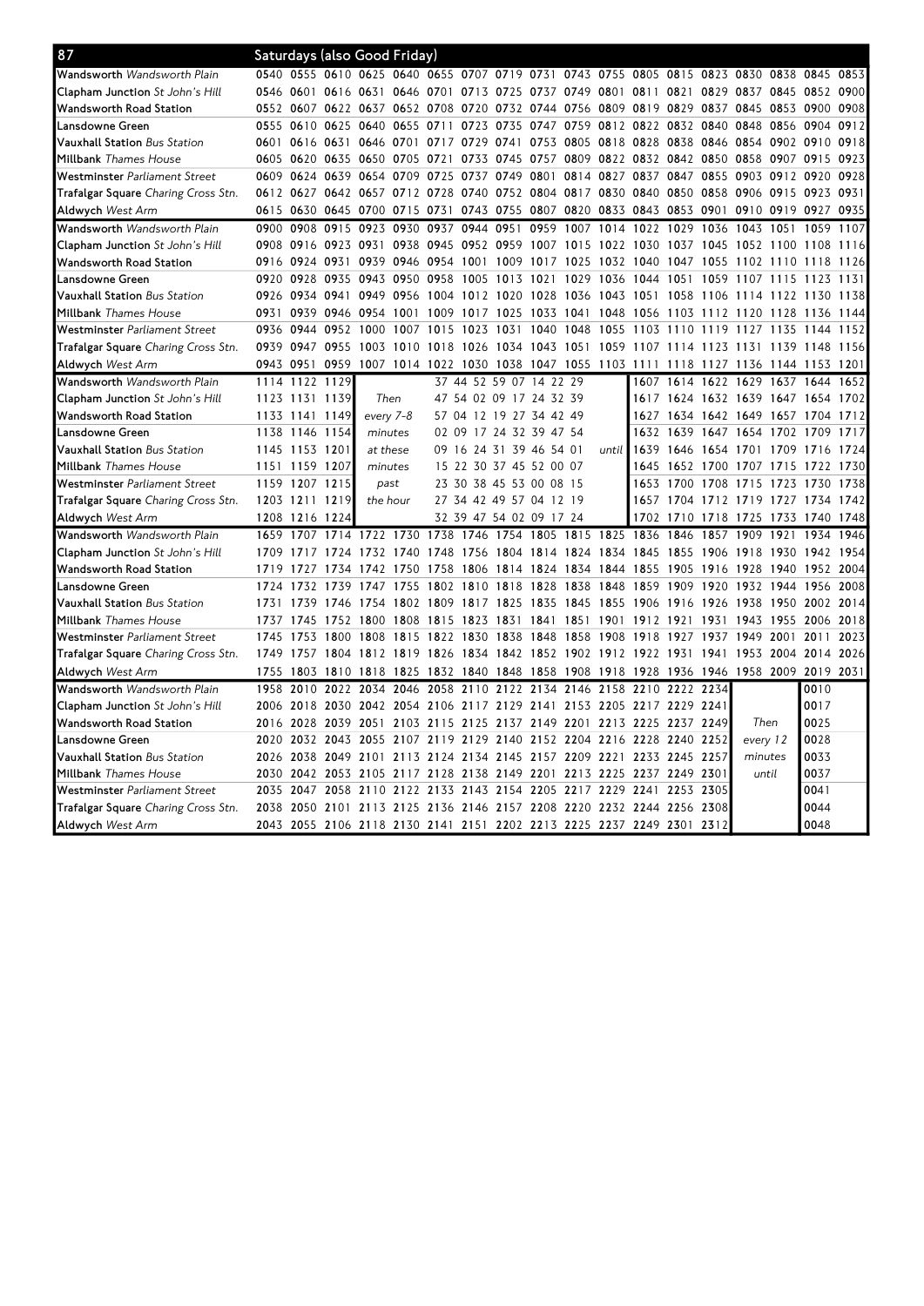| 87                                         |           |                | Saturdays (also Good Friday)       |                |           |                     |                |                                                                                      |      |       |                                         |      |           |      |                                         |      |           |      |
|--------------------------------------------|-----------|----------------|------------------------------------|----------------|-----------|---------------------|----------------|--------------------------------------------------------------------------------------|------|-------|-----------------------------------------|------|-----------|------|-----------------------------------------|------|-----------|------|
| Wandsworth Wandsworth Plain                |           |                |                                    |                |           |                     |                | 0540 0555 0610 0625 0640 0655 0707 0719 0731 0743 0755 0805 0815 0823 0830 0838 0845 |      |       |                                         |      |           |      |                                         |      |           | 0853 |
| <b>Clapham Junction</b> St John's Hill     |           |                |                                    |                |           |                     |                | 0546 0601 0616 0631 0646 0701 0713 0725 0737 0749 0801 0811 0821                     |      |       |                                         |      |           |      | 0829 0837 0845 0852 0900                |      |           |      |
| Wandsworth Road Station                    |           |                | 0552 0607 0622 0637 0652 0708      |                |           |                     | 0720           | 0732 0744                                                                            |      |       | 0756 0809 0819 0829                     |      |           |      | 0837 0845 0853                          |      | 0900      | 0908 |
| Lansdowne Green                            | 0555 0610 |                | 0625                               | 0640           | 0655      | 0711                | 0723           | 0735 0747                                                                            |      |       | 0759 0812 0822 0832 0840                |      |           |      | 0848 0856                               |      | 0904      | 0912 |
| <b>Vauxhall Station</b> Bus Station        |           | 0601 0616      |                                    |                |           |                     |                | 0631 0646 0701 0717 0729 0741 0753 0805 0818 0828 0838                               |      |       |                                         |      |           |      | 0846 0854 0902 0910                     |      |           | 0918 |
| Millbank <i>Thames House</i>               | 0605 0620 |                | 0635                               | 0650           | 0705      | 0721                | 0733           | 0745 0757                                                                            |      |       | 0809 0822 0832                          |      | 0842      | 0850 | 0858 0907                               |      | 0915      | 0923 |
| Westminster Parliament Street              |           |                | 0609 0624 0639 0654 0709 0725      |                |           |                     |                | 0737 0749 0801                                                                       |      |       | 0814 0827 0837 0847 0855 0903 0912 0920 |      |           |      |                                         |      |           | 0928 |
| Trafalgar Square Charing Cross Stn.        |           |                | 0612 0627 0642 0657 0712 0728      |                |           |                     |                | 0740 0752 0804 0817 0830 0840 0850 0858 0906 0915                                    |      |       |                                         |      |           |      |                                         |      | 0923 0931 |      |
| <b>Aldwych</b> West Arm                    | 0615 0630 |                |                                    | 0645 0700      | 0715 0731 |                     |                | 0743 0755 0807                                                                       |      |       | 0820 0833 0843 0853 0901                |      |           |      | 0910 0919                               |      | 0927 0935 |      |
| Wandsworth Wandsworth Plain                | 0900      | 0908           | 0915                               | 0923           | 0930      | 0937                | 0944           | 0951                                                                                 | 0959 | 1007  | 1014                                    | 1022 | 1029      | 1036 | 1043 1051                               |      | 1059      | 1107 |
| <b>Clapham Junction</b> St John's Hill     | 0908 0916 |                | 0923                               | 0931           |           | 0938 0945           |                | 0952 0959 1007 1015                                                                  |      |       | 1022 1030                               |      | 1037 1045 |      | 1052 1100                               |      | 1108      | 1116 |
| Wandsworth Road Station                    |           | 0916 0924 0931 |                                    |                |           | 0939 0946 0954 1001 |                | 1009 1017                                                                            |      | 1025  | 1032 1040                               |      | 1047 1055 |      | 1102 1110                               |      | 1118      | 1126 |
| Lansdowne Green                            | 0920 0928 |                | 0935                               | 0943           | 0950 0958 |                     | 1005           | 1013 1021                                                                            |      |       | 1029 1036 1044                          |      | 1051      | 1059 | 1107 1115                               |      | 1123      | 1131 |
| <b>Vauxhall Station</b> Bus Station        |           | 0926 0934      | 0941                               | 0949           | 0956      | 1004                | 1012           | 1020 1028                                                                            |      |       | 1036 1043 1051                          |      | 1058      | 1106 | 1114 1122                               |      | 1130      | 1138 |
| <b>Millbank</b> Thames House               | 0931 0939 |                |                                    | 0946 0954 1001 |           | 1009                |                | 1017 1025 1033 1041 1048 1056                                                        |      |       |                                         |      | 1103      |      | 1112 1120 1128                          |      | 1136      | 1144 |
| Westminster Parliament Street              | 0936 0944 |                |                                    | 0952 1000 1007 |           |                     |                | 1015 1023 1031 1040                                                                  |      | 1048  | 1055 1103                               |      | 1110 1119 |      | 1127 1135                               |      | 1144      | 1152 |
| <b>Trafalgar Square</b> Charing Cross Stn. | 0939 0947 |                | 0955                               | 1003 1010      |           |                     |                | 1018 1026 1034 1043 1051                                                             |      |       |                                         |      |           |      | 1059 1107 1114 1123 1131 1139 1148 1156 |      |           |      |
| <b>Aldwych</b> West Arm                    | 0943 0951 |                | 0959                               |                |           |                     |                | 1007 1014 1022 1030 1038 1047 1055 1103 1111 1118 1127 1136 1144 1153 1201           |      |       |                                         |      |           |      |                                         |      |           |      |
| Wandsworth <i>Wandsworth Plain</i>         |           | 1114 1122 1129 |                                    |                |           | 37                  |                | 44 52 59 07                                                                          | 14   | 22 29 |                                         |      |           |      | 1607 1614 1622 1629 1637 1644           |      |           | 1652 |
| <b>Clapham Junction</b> St John's Hill     |           | 1123 1131 1139 |                                    | Then           |           |                     |                | 47 54 02 09 17 24 32 39                                                              |      |       |                                         |      |           |      | 1617 1624 1632 1639 1647 1654 1702      |      |           |      |
| Wandsworth Road Station                    |           | 1133 1141 1149 |                                    | every 7-8      |           |                     |                | 57 04 12 19 27 34 42 49                                                              |      |       |                                         | 1627 |           |      | 1634 1642 1649 1657 1704                |      |           | 1712 |
| Lansdowne Green                            | 1138 1146 |                | 1154                               | minutes        |           | 02 09               |                | 17 24 32 39 47 54                                                                    |      |       |                                         |      | 1632 1639 |      | 1647 1654 1702 1709                     |      |           | 1717 |
| <b>Vauxhall Station</b> Bus Station        | 1145 1153 |                | 1201                               | at these       |           |                     |                | 09 16 24 31 39 46 54 01                                                              |      |       | until l                                 | 1639 | 1646      |      | 1654 1701 1709                          |      | 1716      | 1724 |
| Millbank <i>Thames House</i>               | 1151 1159 |                | 1207                               | minutes        |           |                     |                | 15 22 30 37 45 52 00 07                                                              |      |       |                                         | 1645 | 1652 1700 |      | 1707 1715                               |      | 1722      | 1730 |
| Westminster Parliament Street              |           | 1159 1207 1215 |                                    | past           |           |                     |                | 23 30 38 45 53 00 08 15                                                              |      |       |                                         | 1653 |           |      | 1700 1708 1715 1723 1730                |      |           | 1738 |
| Trafalgar Square Charing Cross Stn.        |           | 1203 1211 1219 |                                    | the hour       |           |                     |                | 27 34 42 49 57 04 12 19                                                              |      |       |                                         |      |           |      | 1657 1704 1712 1719 1727                |      | 1734      | 1742 |
| <b>Aldwych</b> West Arm                    | 1208 1216 |                | 1224                               |                |           |                     |                | 32 39 47 54 02 09 17 24                                                              |      |       |                                         | 1702 | 1710      | 1718 | 1725 1733                               |      | 1740      | 1748 |
| Wandsworth Wandsworth Plain                | 1659      | 1707           | 1714                               |                | 1722 1730 | 1738                | 1746           | 1754                                                                                 | 1805 | 1815  | 1825                                    | 1836 | 1846      | 1857 | 1909                                    | 1921 | 1934      | 1946 |
| Clapham Junction St John's Hill            | 1709      | 1717           | 1724                               | 1732 1740      |           | 1748                | 1756           | 1804 1814                                                                            |      | 1824  | 1834                                    | 1845 | 1855      | 1906 | 1918                                    | 1930 | 1942      | 1954 |
| Wandsworth Road Station                    | 1719 1727 |                | 1734                               |                | 1742 1750 | 1758                |                | 1806 1814 1824 1834 1844 1855                                                        |      |       |                                         |      | 1905      | 1916 | 1928 1940                               |      | 1952 2004 |      |
| Lansdowne Green                            | 1724      | 1732           | 1739                               | 1747           | 1755      |                     |                | 1802 1810 1818 1828                                                                  |      | 1838  | 1848                                    | 1859 | 1909      | 1920 | 1932 1944 1956                          |      |           | 2008 |
| <b>Vauxhall Station</b> Bus Station        | 1731      | 1739           | 1746                               | 1754 1802      |           | 1809                |                | 1817 1825 1835                                                                       |      | 1845  | 1855                                    | 1906 | 1916      | 1926 | 1938 1950                               |      | 2002      | 2014 |
| Millbank Thames House                      | 1737 1745 |                |                                    | 1752 1800 1808 |           | 1815                |                | 1823 1831 1841 1851                                                                  |      |       | 1901                                    | 1912 | 1921      | 1931 | 1943 1955                               |      | 2006      | 2018 |
| Westminster <i>Parliament Street</i>       | 1745      | 1753           | 1800                               | 1808           | 1815      | 1822                | 1830           | 1838 1848                                                                            |      | 1858  | 1908                                    | 1918 | 1927      | 1937 | 1949                                    | 2001 | 2011      | 2023 |
| Trafalgar Square Charing Cross Stn.        |           |                |                                    |                |           |                     |                | 1749 1757 1804 1812 1819 1826 1834 1842 1852 1902 1912 1922 1931 1941 1953 2004      |      |       |                                         |      |           |      |                                         |      | 2014 2026 |      |
| <b>Aldwych</b> West Arm                    | 1755      | 1803           | 1810                               | 1818 1825      |           |                     | 1832 1840      | 1848 1858                                                                            |      | 1908  | 1918 1928 1936 1946 1958 2009           |      |           |      |                                         |      | 2019 2031 |      |
| Wandsworth Wandsworth Plain                | 1958      | 2010           | 2022                               | 2034           | 2046      | 2058                | 2110           | 2122 2134                                                                            |      | 2146  | 2158                                    | 2210 | 2222      | 2234 |                                         |      | 0010      |      |
| <b>Clapham Junction</b> St John's Hill     | 2006 2018 |                | 2030                               | 2042 2054 2106 |           |                     |                | 2117 2129 2141 2153 2205 2217 2229 2241                                              |      |       |                                         |      |           |      |                                         |      | 0017      |      |
| Wandsworth Road Station                    | 2016 2028 |                | 2039                               | 2051           | 2103      | 2115                | 2125           | 2137 2149                                                                            |      |       | 2201 2213 2225 2237 2249                |      |           |      | Then                                    |      | 0025      |      |
| Lansdowne Green                            |           |                | 2020 2032 2043 2055 2107 2119 2129 |                |           |                     |                | 2140 2152 2204 2216 2228 2240 2252                                                   |      |       |                                         |      |           |      | every 12                                |      | 0028      |      |
| Vauxhall Station Bus Station               | 2026 2038 |                | 2049 2101                          |                |           |                     | 2113 2124 2134 | 2145 2157 2209 2221 2233 2245 2257                                                   |      |       |                                         |      |           |      | minutes                                 |      | 0033      |      |
| <b>Millbank</b> Thames House               | 2030 2042 |                | 2053                               | 2105 2117 2128 |           |                     |                | 2138 2149 2201 2213 2225 2237 2249 2301                                              |      |       |                                         |      |           |      | until                                   |      | 0037      |      |
| Westminster Parliament Street              | 2035 2047 |                | 2058                               |                |           |                     |                | 2110 2122 2133 2143 2154 2205                                                        |      |       | 2217 2229 2241 2253 2305                |      |           |      |                                         |      | 0041      |      |
| <b>Trafalgar Square</b> Charing Cross Stn. | 2038 2050 |                |                                    |                |           |                     |                | 2101 2113 2125 2136 2146 2157 2208                                                   |      |       | 2220 2232 2244                          |      | 2256      | 2308 |                                         |      | 0044      |      |
| Aldwych West Arm                           |           |                |                                    |                |           |                     |                | 2043 2055 2106 2118 2130 2141 2151 2202 2213 2225 2237 2249 2301 2312                |      |       |                                         |      |           |      |                                         |      | 0048      |      |
|                                            |           |                |                                    |                |           |                     |                |                                                                                      |      |       |                                         |      |           |      |                                         |      |           |      |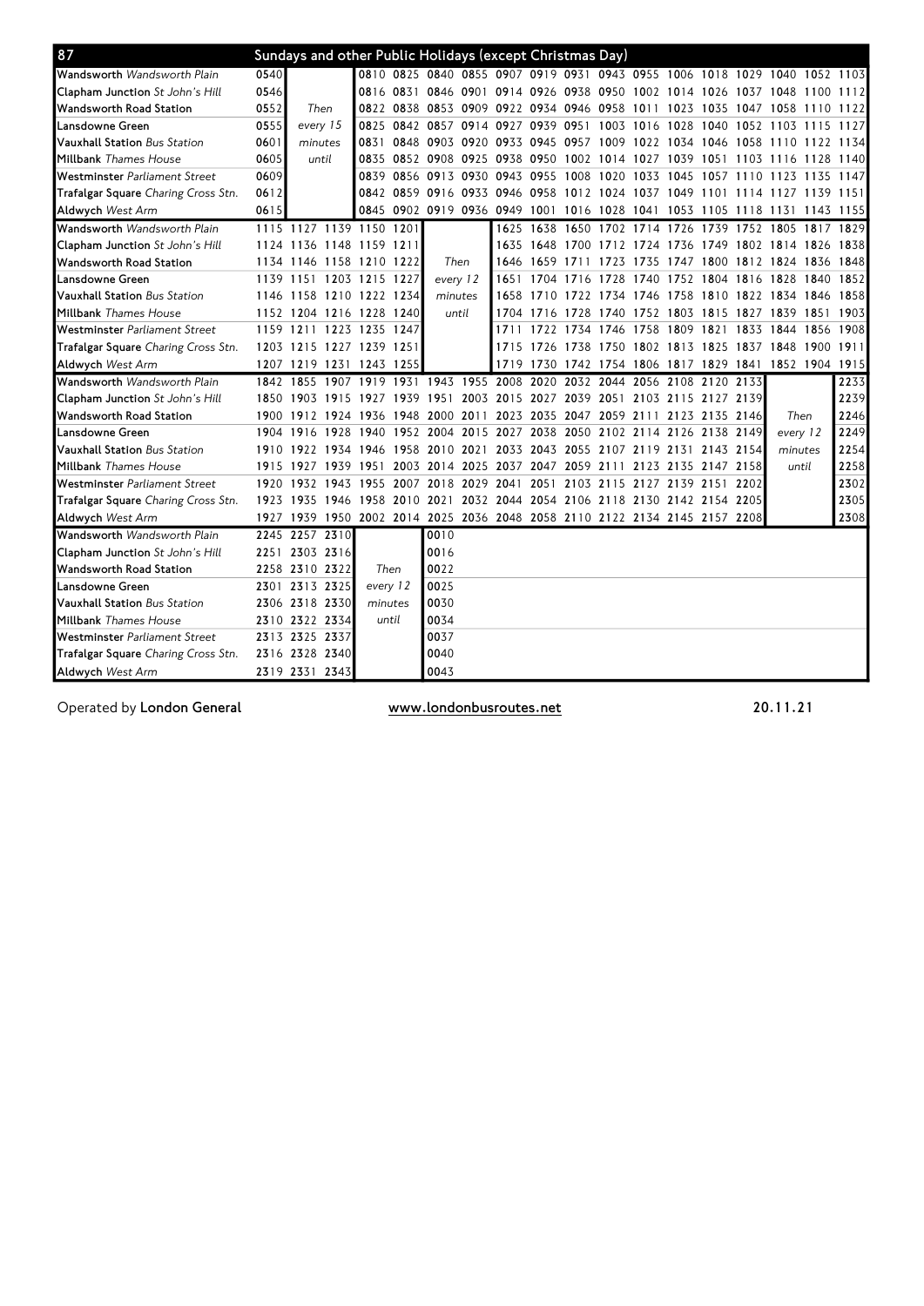| 87                                     |           | Sundays and other Public Holidays (except Christmas Day)                   |      |                |      |                                                        |           |                                              |                          |           |           |                |                                         |  |                                                                            |      |
|----------------------------------------|-----------|----------------------------------------------------------------------------|------|----------------|------|--------------------------------------------------------|-----------|----------------------------------------------|--------------------------|-----------|-----------|----------------|-----------------------------------------|--|----------------------------------------------------------------------------|------|
| Wandsworth Wandsworth Plain            | 0540      |                                                                            |      |                |      |                                                        |           |                                              |                          |           |           |                |                                         |  | 0810 0825 0840 0855 0907 0919 0931 0943 0955 1006 1018 1029 1040 1052 1103 |      |
| <b>Clapham Junction</b> St John's Hill | 0546      |                                                                            |      |                |      |                                                        |           |                                              |                          |           |           |                |                                         |  | 0816 0831 0846 0901 0914 0926 0938 0950 1002 1014 1026 1037 1048 1100      | 1112 |
| Wandsworth Road Station                | 0552      | Then                                                                       |      |                |      | 0822 0838 0853 0909 0922 0934 0946 0958 1011 1023 1035 |           |                                              |                          |           |           |                |                                         |  | 1047 1058 1110                                                             | 1122 |
| Lansdowne Green                        | 0555      | every 15                                                                   |      |                |      | 0825 0842 0857 0914 0927 0939 0951 1003 1016 1028 1040 |           |                                              |                          |           |           |                |                                         |  | 1052 1103 1115                                                             | 1127 |
| Vauxhall Station Bus Station           | 0601      | minutes                                                                    |      | 0831 0848      |      | 0903 0920 0933 0945                                    |           |                                              |                          |           |           |                |                                         |  | 0957 1009 1022 1034 1046 1058 1110 1122 1134                               |      |
| Millbank <i>Thames House</i>           | 0605      | until                                                                      |      |                |      | 0835 0852 0908 0925 0938 0950                          |           |                                              |                          |           |           |                |                                         |  | 1002 1014 1027 1039 1051 1103 1116 1128 1140                               |      |
| Westminster Parliament Street          | 0609      |                                                                            |      |                |      | 0839 0856 0913 0930 0943 0955                          |           |                                              |                          |           |           |                |                                         |  | 1008 1020 1033 1045 1057 1110 1123 1135                                    | 1147 |
| Trafalgar Square Charing Cross Stn.    | 0612      |                                                                            |      |                |      |                                                        |           |                                              |                          |           |           |                |                                         |  | 0842 0859 0916 0933 0946 0958 1012 1024 1037 1049 1101 1114 1127 1139 1151 |      |
| <b>Aldwych West Arm</b>                | 0615      |                                                                            |      |                |      |                                                        |           |                                              |                          |           |           |                |                                         |  | 0845 0902 0919 0936 0949 1001 1016 1028 1041 1053 1105 1118 1131 1143 1155 |      |
| Wandsworth Wandsworth Plain            |           | 1115 1127 1139 1150 1201                                                   |      |                |      |                                                        |           |                                              |                          |           |           |                |                                         |  | 1625 1638 1650 1702 1714 1726 1739 1752 1805 1817                          | 1829 |
| Clapham Junction St John's Hill        |           | 1124 1136 1148 1159 1211                                                   |      |                |      |                                                        |           | 1635                                         |                          |           |           |                |                                         |  | 1648 1700 1712 1724 1736 1749 1802 1814 1826 1838                          |      |
| Wandsworth Road Station                |           | 1134 1146 1158 1210 1222                                                   |      |                |      | Then                                                   |           | 1646                                         | 1659                     | 1711 1723 |           | 1735           | 1747 1800                               |  | 1812 1824 1836 1848                                                        |      |
| Lansdowne Green                        |           | 1139 1151 1203 1215 1227                                                   |      |                |      | every 12                                               |           | 1651                                         | 1704                     | 1716 1728 |           | 1740           | 1752 1804                               |  | 1816 1828 1840                                                             | 1852 |
| Vauxhall Station Bus Station           |           | 1146 1158 1210 1222 1234                                                   |      |                |      | minutes                                                |           |                                              | 1658 1710                |           |           |                |                                         |  | 1722 1734 1746 1758 1810 1822 1834 1846                                    | 1858 |
| <b>Millbank Thames House</b>           |           | 1152 1204 1216 1228 1240                                                   |      |                |      |                                                        | until     |                                              | 1704 1716                | 1728 1740 |           |                |                                         |  | 1752 1803 1815 1827 1839 1851                                              | 1903 |
| Westminster Parliament Street          | 1159 1211 |                                                                            |      | 1223 1235 1247 |      |                                                        |           | 1711                                         | 1722                     | 1734 1746 |           |                | 1758 1809 1821                          |  | 1833 1844 1856                                                             | 1908 |
| Trafalgar Square Charing Cross Stn.    |           | 1203 1215 1227 1239 1251                                                   |      |                |      |                                                        |           | 1715                                         | 1726                     | 1738 1750 |           |                |                                         |  | 1802 1813 1825 1837 1848 1900                                              | 1911 |
| <b>Aldwych</b> West Arm                |           | 1207 1219 1231 1243 1255                                                   |      |                |      |                                                        |           | 1719                                         | 1730                     |           |           |                |                                         |  | 1742 1754 1806 1817 1829 1841 1852 1904 1915                               |      |
| Wandsworth Wandsworth Plain            |           | 1842 1855                                                                  |      |                |      | 1907 1919 1931 1943 1955 2008                          |           |                                              | 2020                     |           | 2032 2044 |                | 2056 2108 2120 2133                     |  |                                                                            | 2233 |
| Clapham Junction St John's Hill        |           | 1850 1903 1915 1927                                                        |      |                | 1939 | 1951                                                   |           | 2003 2015 2027 2039 2051 2103 2115 2127 2139 |                          |           |           |                |                                         |  |                                                                            | 2239 |
| Wandsworth Road Station                |           | 1900 1912 1924 1936                                                        |      |                | 1948 | 2000                                                   | 2011      |                                              |                          |           |           |                | 2023 2035 2047 2059 2111 2123 2135 2146 |  | Then                                                                       | 2246 |
| Lansdowne Green                        |           | 1904 1916                                                                  | 1928 | 1940           |      | 1952 2004                                              |           | 2015 2027 2038                               |                          |           |           |                | 2050 2102 2114 2126 2138 2149           |  | every 12                                                                   | 2249 |
| Vauxhall Station Bus Station           |           | 1910 1922                                                                  |      | 1934 1946      | 1958 | 2010 2021                                              |           |                                              | 2033 2043 2055 2107 2119 |           |           |                | 2131 2143 2154                          |  | minutes                                                                    | 2254 |
| <b>Millbank</b> Thames House           | 1915 1927 |                                                                            |      | 1939 1951      |      | 2003 2014 2025 2037 2047 2059 2111 2123 2135 2147 2158 |           |                                              |                          |           |           |                |                                         |  | until                                                                      | 2258 |
| Westminster Parliament Street          |           | 1920 1932 1943 1955                                                        |      |                | 2007 | 2018                                                   | 2029 2041 |                                              | 2051                     |           |           | 2103 2115 2127 | 2139 2151 2202                          |  |                                                                            | 2302 |
| Trafalgar Square Charing Cross Stn.    | 1923 1935 |                                                                            |      |                |      | 1946 1958 2010 2021                                    |           | 2032 2044 2054 2106 2118 2130 2142 2154 2205 |                          |           |           |                |                                         |  |                                                                            | 2305 |
| <b>Aldwych West Arm</b>                |           | 1927 1939 1950 2002 2014 2025 2036 2048 2058 2110 2122 2134 2145 2157 2208 |      |                |      |                                                        |           |                                              |                          |           |           |                |                                         |  |                                                                            | 2308 |
| Wandsworth Wandsworth Plain            |           | 2245 2257                                                                  | 2310 |                |      | 0010                                                   |           |                                              |                          |           |           |                |                                         |  |                                                                            |      |
| Clapham Junction St John's Hill        |           | 2251 2303 2316                                                             |      |                |      | 0016                                                   |           |                                              |                          |           |           |                |                                         |  |                                                                            |      |
| Wandsworth Road Station                |           | 2258 2310 2322                                                             |      | Then           |      | 0022                                                   |           |                                              |                          |           |           |                |                                         |  |                                                                            |      |
| Lansdowne Green                        |           | 2301 2313 2325                                                             |      | every 12       |      | 0025                                                   |           |                                              |                          |           |           |                |                                         |  |                                                                            |      |
| Vauxhall Station Bus Station           |           | 2306 2318 2330                                                             |      | minutes        |      | 0030                                                   |           |                                              |                          |           |           |                |                                         |  |                                                                            |      |
| <b>Millbank</b> Thames House           |           | 2310 2322 2334                                                             |      | until          |      | 0034                                                   |           |                                              |                          |           |           |                |                                         |  |                                                                            |      |
| Westminster Parliament Street          |           | 2313 2325 2337                                                             |      |                |      | 0037                                                   |           |                                              |                          |           |           |                |                                         |  |                                                                            |      |
| Trafalgar Square Charing Cross Stn.    |           | 2316 2328 2340                                                             |      |                |      | 0040                                                   |           |                                              |                          |           |           |                |                                         |  |                                                                            |      |
| Aldwych West Arm                       |           | 2319 2331 2343                                                             |      |                |      | 0043                                                   |           |                                              |                          |           |           |                |                                         |  |                                                                            |      |

Operated by London General www.londonbusroutes.net 20.11.21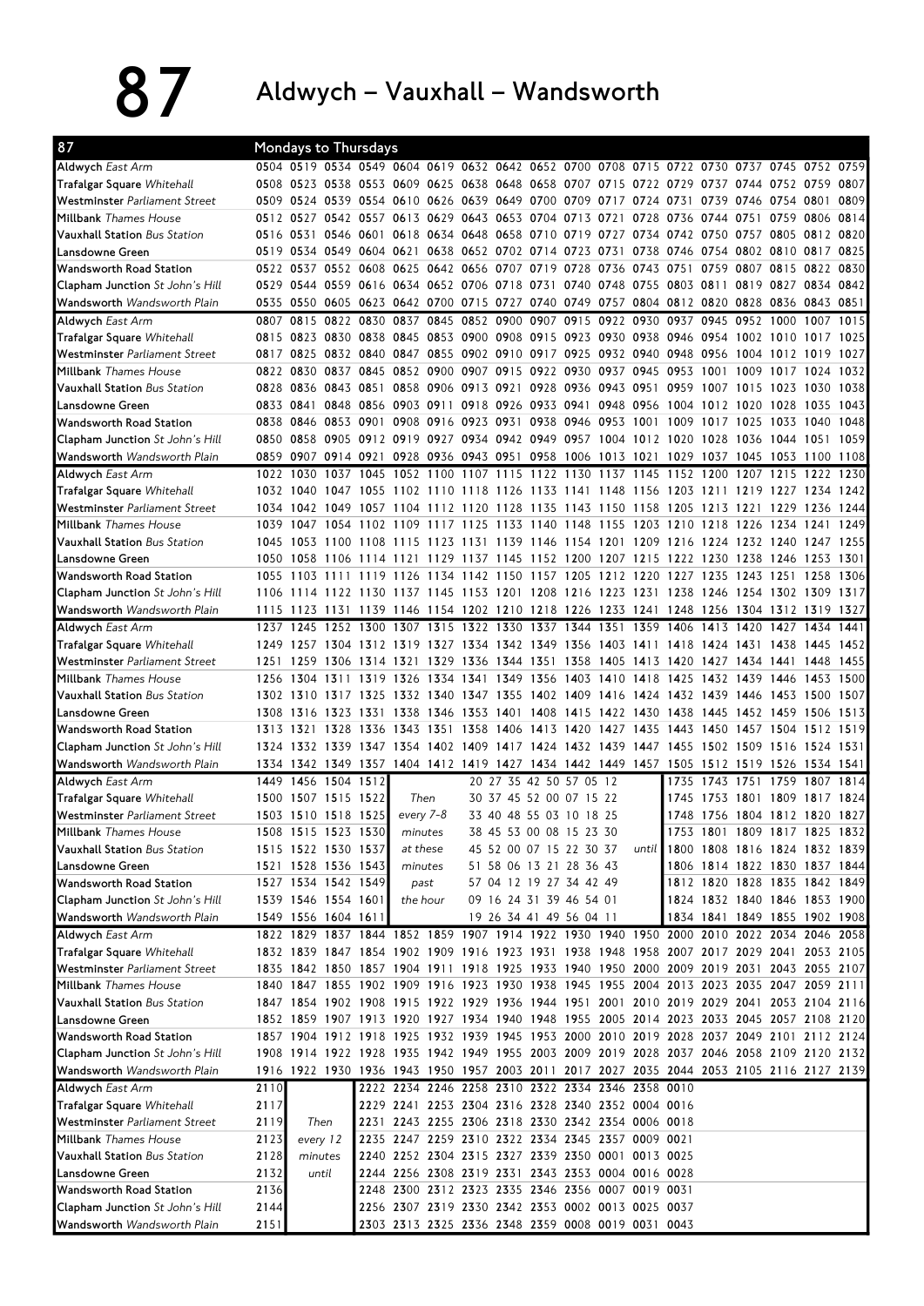87 Aldwych – Vauxhall – Wandsworth

| 87                                              | Mondays to Thursdays |                     |           |                     |           |      |                                                                                                        |                         |      |                |       |           |                               |           |                |           |      |
|-------------------------------------------------|----------------------|---------------------|-----------|---------------------|-----------|------|--------------------------------------------------------------------------------------------------------|-------------------------|------|----------------|-------|-----------|-------------------------------|-----------|----------------|-----------|------|
| Aldwych East Arm                                |                      |                     |           |                     |           |      | 0504 0519 0534 0549 0604 0619 0632 0642 0652 0700 0708 0715 0722 0730 0737 0745 0752 0759              |                         |      |                |       |           |                               |           |                |           |      |
| <b>Trafalgar Square Whitehall</b>               |                      |                     |           |                     |           |      | 0508 0523 0538 0553 0609 0625 0638 0648 0658 0707 0715 0722 0729 0737 0744 0752 0759                   |                         |      |                |       |           |                               |           |                |           | 0807 |
| Westminster Parliament Street                   | 0509                 |                     |           |                     |           |      | 0524 0539 0554 0610 0626 0639 0649 0700 0709 0717                                                      |                         |      |                | 0724  | 0731      | 0739 0746 0754 0801           |           |                |           | 0809 |
| <b>Millbank</b> Thames House                    |                      |                     |           |                     |           |      | 0512 0527 0542 0557 0613 0629 0643 0653 0704 0713 0721                                                 |                         |      |                | 0728  | 0736 0744 |                               | 0751      | 0759           | 0806      | 0814 |
| <b>Vauxhall Station</b> Bus Station             | 0516 0531            |                     |           |                     |           |      | 0546 0601 0618 0634 0648 0658 0710 0719 0727 0734                                                      |                         |      |                |       |           | 0742 0750 0757 0805 0812 0820 |           |                |           |      |
| Lansdowne Green                                 |                      |                     |           |                     |           |      | 0519 0534 0549 0604 0621 0638 0652 0702 0714 0723 0731 0738                                            |                         |      |                |       |           | 0746 0754 0802 0810 0817      |           |                |           | 0825 |
| Wandsworth Road Station                         |                      | 0522 0537           |           | 0552 0608 0625      |           |      | 0642 0656 0707 0719 0728 0736 0743                                                                     |                         |      |                |       | 0751      | 0759                          | 0807 0815 |                | 0822      | 0830 |
| <b>Clapham Junction</b> St John's Hill          |                      |                     |           |                     |           |      | 0529 0544 0559 0616 0634 0652 0706 0718 0731 0740 0748 0755                                            |                         |      |                |       | 0803 0811 |                               |           | 0819 0827 0834 |           | 0842 |
| Wandsworth Wandsworth Plain                     | 0535                 |                     |           |                     |           |      | 0550 0605 0623 0642 0700 0715 0727 0740 0749 0757 0804                                                 |                         |      |                |       |           | 0812 0820 0828 0836 0843 0851 |           |                |           |      |
| Aldwych East Arm                                | 0807                 | 0815 0822 0830      |           |                     |           |      | 0837 0845 0852 0900 0907 0915 0922 0930                                                                |                         |      |                |       | 0937 0945 |                               | 0952 1000 |                | 1007      | 1015 |
| <b>Trafalgar Square Whitehall</b>               |                      |                     |           |                     |           |      | 0815 0823 0830 0838 0845 0853 0900 0908 0915 0923 0930 0938 0946 0954 1002 1010 1017 1025              |                         |      |                |       |           |                               |           |                |           |      |
| Westminster Parliament Street                   |                      |                     |           |                     |           |      | 0817 0825 0832 0840 0847 0855 0902 0910 0917 0925 0932 0940                                            |                         |      |                |       |           | 0948 0956 1004 1012 1019      |           |                |           | 1027 |
| <b>Millbank</b> Thames House                    |                      |                     |           |                     |           |      | 0822 0830 0837 0845 0852 0900 0907 0915 0922 0930 0937 0945                                            |                         |      |                |       | 0953 1001 |                               |           | 1009 1017      | 1024      | 1032 |
| <b>Vauxhall Station</b> Bus Station             | 0828                 |                     |           |                     |           |      | 0836 0843 0851 0858 0906 0913 0921 0928 0936 0943 0951                                                 |                         |      |                |       | 0959 1007 |                               | 1015      | 1023           | 1030      | 1038 |
| Lansdowne Green                                 |                      |                     |           |                     |           |      | 0833 0841 0848 0856 0903 0911 0918 0926 0933 0941 0948 0956                                            |                         |      |                |       |           | 1004 1012 1020 1028           |           |                | 1035      | 1043 |
| <b>Wandsworth Road Station</b>                  | 0838                 |                     |           | 0846 0853 0901      |           |      | 0908 0916 0923 0931 0938 0946 0953 1001                                                                |                         |      |                |       | 1009 1017 |                               |           | 1025 1033 1040 |           | 1048 |
| <b>Clapham Junction</b> St John's Hill          | 0850                 |                     |           |                     |           |      | 0858 0905 0912 0919 0927 0934 0942 0949 0957 1004 1012 1020 1028 1036 1044 1051                        |                         |      |                |       |           |                               |           |                |           | 1059 |
| Wandsworth Wandsworth Plain                     | 0859                 |                     |           |                     |           |      | 0907 0914 0921 0928 0936 0943 0951 0958 1006 1013 1021 1029 1037 1045 1053 1100 1108                   |                         |      |                |       |           |                               |           |                |           |      |
| <b>Aldwych East Arm</b>                         |                      | 1022 1030           |           |                     |           |      | 1037 1045 1052 1100 1107 1115 1122 1130 1137 1145                                                      |                         |      |                |       |           | 1152 1200 1207 1215 1222      |           |                |           | 1230 |
| <b>Trafalgar Square Whitehall</b>               |                      | 1032 1040           | 1047 1055 |                     |           |      | 1102 1110 1118 1126 1133 1141 1148 1156                                                                |                         |      |                |       | 1203 1211 |                               |           | 1219 1227 1234 |           | 1242 |
| Westminster Parliament Street                   |                      |                     |           |                     |           |      | 1034 1042 1049 1057 1104 1112 1120 1128                                                                | 1135                    |      | 1143 1150 1158 |       |           | 1205 1213 1221 1229           |           |                | 1236      | 1244 |
| <b>Millbank</b> Thames House                    | 1039                 | 1047                | 1054      | 1102                | 1109      |      | 1117 1125 1133 1140                                                                                    |                         | 1148 | 1155 1203      |       | 1210      | 1218 1226 1234 1241           |           |                |           | 1249 |
| Vauxhall Station Bus Station                    |                      |                     |           |                     |           |      | 1045 1053 1100 1108 1115 1123 1131 1139 1146 1154 1201 1209 1216 1224 1232 1240 1247 1255              |                         |      |                |       |           |                               |           |                |           |      |
| Lansdowne Green                                 |                      |                     |           |                     |           |      | 1050 1058 1106 1114 1121 1129 1137 1145 1152 1200 1207 1215                                            |                         |      |                |       |           | 1222 1230 1238 1246           |           |                | 1253      | 1301 |
| Wandsworth Road Station                         | 1055                 | 1103                | 1111      |                     |           |      | 1119 1126 1134 1142 1150 1157 1205 1212 1220                                                           |                         |      |                |       |           | 1227 1235 1243 1251           |           |                | 1258      | 1306 |
| <b>Clapham Junction</b> St John's Hill          | 1106                 | 1114                |           |                     |           |      | 1122 1130 1137 1145 1153 1201 1208 1216 1223 1231                                                      |                         |      |                |       |           | 1238 1246 1254 1302 1309      |           |                |           | 1317 |
| Wandsworth Wandsworth Plain                     | 1115                 |                     |           |                     |           |      | 1123 1131 1139 1146 1154 1202 1210 1218 1226 1233 1241                                                 |                         |      |                |       |           | 1248 1256 1304 1312 1319 1327 |           |                |           |      |
| <b>Aldwych East Arm</b>                         |                      | 1237 1245           | 1252 1300 |                     |           |      | 1307 1315 1322 1330 1337 1344 1351                                                                     |                         |      |                | 1359  | 1406      | 1413 1420                     |           | 1427           | 1434      | 1441 |
| <b>Trafalgar Square Whitehall</b>               |                      |                     |           |                     |           |      | 1249 1257 1304 1312 1319 1327 1334 1342 1349 1356 1403 1411 1418 1424 1431 1438                        |                         |      |                |       |           |                               |           |                | 1445      | 1452 |
| Westminster Parliament Street                   |                      |                     |           |                     |           |      | 1251 1259 1306 1314 1321 1329 1336 1344 1351 1358 1405 1413                                            |                         |      |                |       |           | 1420 1427 1434 1441 1448      |           |                |           | 1455 |
| <b>Millbank</b> Thames House                    |                      |                     |           |                     |           |      | 1256 1304 1311 1319 1326 1334 1341 1349 1356                                                           |                         |      | 1403 1410 1418 |       |           | 1425 1432 1439 1446           |           |                | 1453      | 1500 |
| Vauxhall Station Bus Station                    |                      | 1302 1310           | 1317 1325 |                     |           |      | 1332 1340 1347 1355                                                                                    | 1402 1409               |      | 1416           | 1424  | 1432 1439 |                               | 1446 1453 |                | 1500      | 1507 |
| Lansdowne Green                                 | 1308                 | 1316                | 1323 1331 |                     |           |      | 1338 1346 1353 1401 1408 1415                                                                          |                         |      | 1422 1430      |       | 1438 1445 |                               | 1452 1459 |                | 1506      | 1513 |
| <b>Wandsworth Road Station</b>                  | 1313 1321            |                     |           | 1328 1336           | 1343      | 1351 | 1358 1406                                                                                              | 1413                    | 1420 | 1427           | 1435  | 1443      | 1450                          | 1457 1504 |                | 1512      | 1519 |
| <b>Clapham Junction</b> St John's Hill          |                      |                     |           |                     |           |      | 1324 1332 1339 1347 1354 1402 1409 1417 1424 1432 1439 1447 1455 1502 1509 1516                        |                         |      |                |       |           |                               |           |                | 1524 1531 |      |
| Wandsworth Wandsworth Plain                     |                      |                     |           |                     |           |      | 1334 1342 1349 1357 1404 1412 1419 1427 1434 1442 1449 1457 1505 1512 1519 1526 1534 1541              |                         |      |                |       |           |                               |           |                |           |      |
| <b>Aldwych East Arm</b>                         |                      | 1449 1456 1504 1512 |           |                     |           |      |                                                                                                        | 20 27 35 42 50 57 05 12 |      |                |       | 1735      | 1743 1751 1759 1807           |           |                |           | 1814 |
| <b>Trafalgar Square Whitehall</b>               | 1500                 | 1507 1515 1522      |           |                     | Then      |      |                                                                                                        | 30 37 45 52 00 07 15 22 |      |                |       | 1745      | 1753 1801 1809 1817           |           |                |           | 1824 |
| Westminster Parliament Street                   |                      | 1503 1510 1518 1525 |           |                     | every 7-8 |      |                                                                                                        | 33 40 48 55 03 10 18 25 |      |                |       |           | 1748 1756 1804 1812 1820 1827 |           |                |           |      |
| <b>Millbank</b> Thames House                    |                      |                     |           | 1508 1515 1523 1530 | minutes   |      |                                                                                                        | 38 45 53 00 08 15 23 30 |      |                |       |           | 1753 1801 1809 1817 1825 1832 |           |                |           |      |
| <b>Vauxhall Station</b> Bus Station             |                      | 1515 1522 1530 1537 |           |                     | at these  |      |                                                                                                        | 45 52 00 07 15 22 30 37 |      |                | until |           | 1800 1808 1816 1824 1832 1839 |           |                |           |      |
| Lansdowne Green                                 |                      | 1521 1528 1536 1543 |           |                     | minutes   |      |                                                                                                        | 51 58 06 13 21 28 36 43 |      |                |       |           | 1806 1814 1822 1830 1837 1844 |           |                |           |      |
| <b>Wandsworth Road Station</b>                  |                      | 1527 1534 1542 1549 |           |                     |           | past |                                                                                                        | 57 04 12 19 27 34 42 49 |      |                |       |           | 1812 1820 1828 1835 1842 1849 |           |                |           |      |
| <b>Clapham Junction</b> St John's Hill          |                      | 1539 1546 1554 1601 |           |                     | the hour  |      |                                                                                                        | 09 16 24 31 39 46 54 01 |      |                |       |           | 1824 1832 1840 1846 1853 1900 |           |                |           |      |
| Wandsworth Wandsworth Plain                     |                      | 1549 1556 1604 1611 |           |                     |           |      |                                                                                                        | 19 26 34 41 49 56 04 11 |      |                |       |           | 1834 1841 1849 1855 1902 1908 |           |                |           |      |
| Aldwych East Arm                                |                      |                     |           |                     |           |      | 1822 1829 1837 1844 1852 1859 1907 1914 1922 1930 1940 1950 2000 2010 2022 2034 2046 2058              |                         |      |                |       |           |                               |           |                |           |      |
| <b>Trafalgar Square Whitehall</b>               |                      |                     |           |                     |           |      | 1832 1839 1847 1854 1902 1909 1916 1923 1931 1938 1948 1958 2007 2017 2029 2041 2053 2105              |                         |      |                |       |           |                               |           |                |           |      |
| Westminster Parliament Street                   |                      |                     |           |                     |           |      | 1835 1842 1850 1857 1904 1911 1918 1925 1933 1940 1950 2000 2009 2019 2031 2043 2055 2107              |                         |      |                |       |           |                               |           |                |           |      |
| <b>Millbank</b> Thames House                    |                      |                     |           |                     |           |      | 1840 1847 1855 1902 1909 1916 1923 1930 1938 1945 1955 2004 2013 2023 2035 2047 2059 2111              |                         |      |                |       |           |                               |           |                |           |      |
| Vauxhall Station Bus Station                    |                      |                     |           |                     |           |      | 1847 1854 1902 1908 1915 1922 1929 1936 1944 1951 2001 2010 2019 2029 2041 2053 2104 2116              |                         |      |                |       |           |                               |           |                |           |      |
| Lansdowne Green                                 |                      |                     |           |                     |           |      | 1852 1859 1907 1913 1920 1927 1934 1940 1948 1955 2005 2014 2023 2033 2045 2057 2108 2120              |                         |      |                |       |           |                               |           |                |           |      |
| Wandsworth Road Station                         |                      |                     |           |                     |           |      | 1857 1904 1912 1918 1925 1932 1939 1945 1953 2000 2010 2019 2028 2037 2049 2101 2112 2124              |                         |      |                |       |           |                               |           |                |           |      |
| Clapham Junction St John's Hill                 |                      |                     |           |                     |           |      | 1908 1914 1922 1928 1935 1942 1949 1955 2003 2009 2019 2028 2037 2046 2058 2109 2120 2132              |                         |      |                |       |           |                               |           |                |           |      |
| Wandsworth Wandsworth Plain                     |                      |                     |           |                     |           |      | 1916 1922 1930 1936 1943 1950 1957 2003 2011 2017 2027 2035 2044 2053 2105 2116 2127 2139              |                         |      |                |       |           |                               |           |                |           |      |
| <b>Aldwych East Arm</b>                         | 2110                 |                     |           |                     |           |      | 2222 2234 2246 2258 2310 2322 2334 2346 2358 0010                                                      |                         |      |                |       |           |                               |           |                |           |      |
| Trafalgar Square Whitehall                      | 2117                 |                     |           |                     |           |      | 2229 2241 2253 2304 2316 2328 2340 2352 0004 0016                                                      |                         |      |                |       |           |                               |           |                |           |      |
| Westminster Parliament Street                   | 2119                 | Then                |           |                     |           |      | 2231 2243 2255 2306 2318 2330 2342 2354 0006 0018                                                      |                         |      |                |       |           |                               |           |                |           |      |
| <b>Millbank</b> Thames House                    | 2123                 | every 12            |           |                     |           |      | 2235 2247 2259 2310 2322 2334 2345 2357 0009 0021<br>2240 2252 2304 2315 2327 2339 2350 0001 0013 0025 |                         |      |                |       |           |                               |           |                |           |      |
| Vauxhall Station Bus Station<br>Lansdowne Green | 2128<br>2132         | minutes<br>until    |           |                     |           |      | 2244 2256 2308 2319 2331 2343 2353 0004 0016 0028                                                      |                         |      |                |       |           |                               |           |                |           |      |
| Wandsworth Road Station                         | 2136                 |                     |           |                     |           |      | 2248 2300 2312 2323 2335 2346 2356 0007 0019 0031                                                      |                         |      |                |       |           |                               |           |                |           |      |
| <b>Clapham Junction</b> St John's Hill          | 2144                 |                     |           |                     |           |      | 2256 2307 2319 2330 2342 2353 0002 0013 0025 0037                                                      |                         |      |                |       |           |                               |           |                |           |      |
|                                                 |                      |                     |           |                     |           |      |                                                                                                        |                         |      |                |       |           |                               |           |                |           |      |
| Wandsworth Wandsworth Plain                     | 2151                 |                     |           |                     |           |      | 2303 2313 2325 2336 2348 2359 0008 0019 0031 0043                                                      |                         |      |                |       |           |                               |           |                |           |      |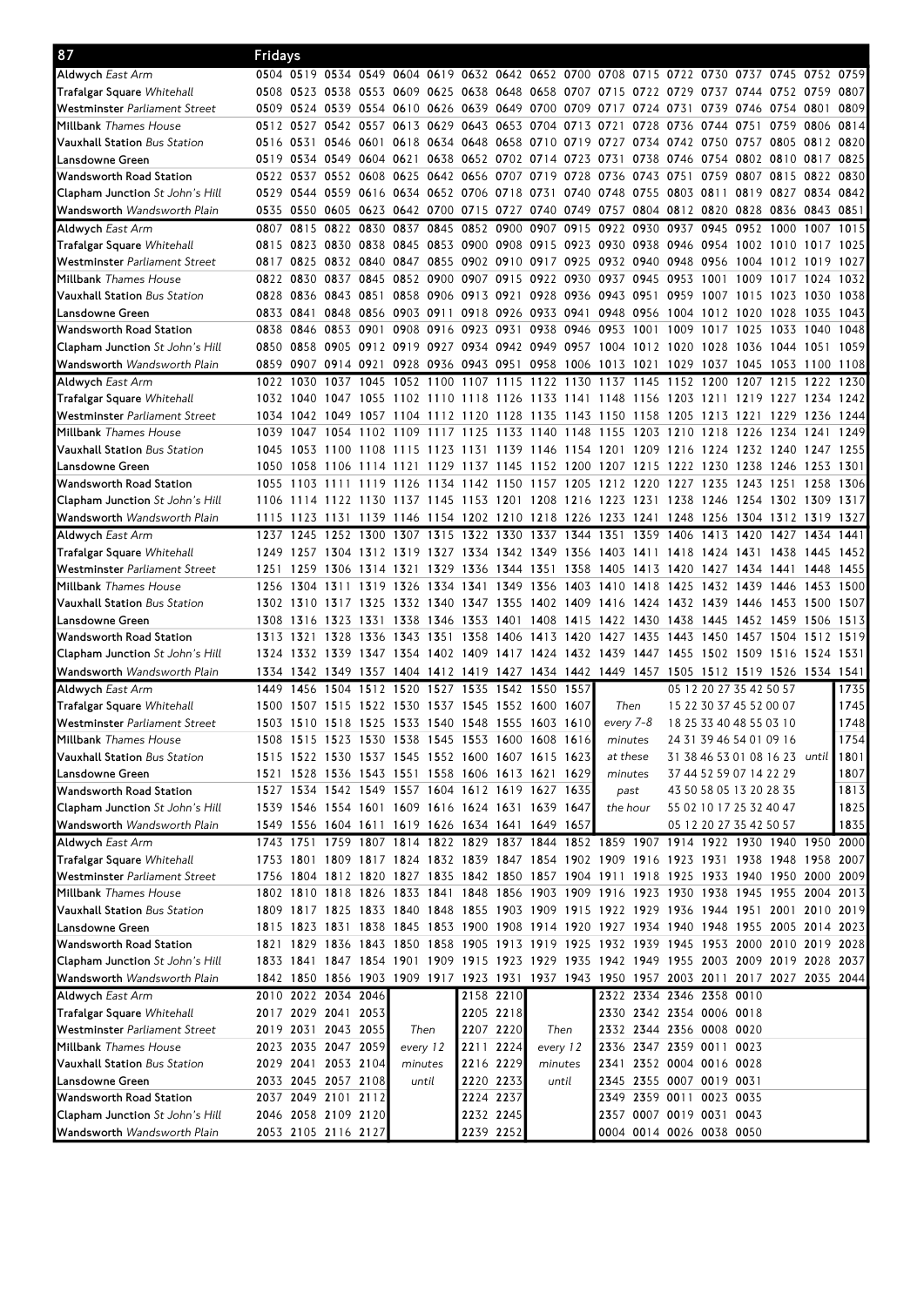| 87                                     | Fridays   |                     |                     |           |                |          |                                              |           |                                                                                           |       |                     |           |                          |      |                               |      |           |      |
|----------------------------------------|-----------|---------------------|---------------------|-----------|----------------|----------|----------------------------------------------|-----------|-------------------------------------------------------------------------------------------|-------|---------------------|-----------|--------------------------|------|-------------------------------|------|-----------|------|
| Aldwych <i>East Arm</i>                |           |                     |                     |           |                |          |                                              |           | 0504 0519 0534 0549 0604 0619 0632 0642 0652 0700 0708 0715 0722 0730 0737 0745 0752 0759 |       |                     |           |                          |      |                               |      |           |      |
| Trafalgar Square Whitehall             |           |                     |                     |           |                |          |                                              |           | 0508 0523 0538 0553 0609 0625 0638 0648 0658 0707 0715 0722 0729                          |       |                     |           |                          |      | 0737 0744 0752 0759           |      |           | 0807 |
| Westminster Parliament Street          |           |                     |                     |           |                |          |                                              |           | 0509 0524 0539 0554 0610 0626 0639 0649 0700 0709 0717 0724                               |       |                     |           | 0731                     |      | 0739 0746 0754 0801           |      |           | 0809 |
| Millbank <i>Thames House</i>           |           | 0512 0527 0542 0557 |                     |           |                |          |                                              |           | 0613 0629 0643 0653 0704 0713 0721                                                        |       |                     | 0728 0736 |                          |      | 0744 0751 0759 0806 0814      |      |           |      |
| Vauxhall Station Bus Station           |           | 0516 0531 0546 0601 |                     |           |                |          |                                              |           | 0618 0634 0648 0658 0710 0719 0727 0734 0742 0750 0757 0805 0812 0820                     |       |                     |           |                          |      |                               |      |           |      |
| Lansdowne Green                        |           |                     |                     |           |                |          |                                              |           | 0519 0534 0549 0604 0621 0638 0652 0702 0714 0723 0731 0738 0746 0754 0802 0810 0817 0825 |       |                     |           |                          |      |                               |      |           |      |
| Wandsworth Road Station                |           |                     |                     |           |                |          |                                              |           | 0522 0537 0552 0608 0625 0642 0656 0707 0719 0728 0736 0743 0751                          |       |                     |           |                          |      | 0759 0807 0815 0822 0830      |      |           |      |
| <b>Clapham Junction</b> St John's Hill |           |                     |                     |           |                |          |                                              |           | 0529 0544 0559 0616 0634 0652 0706 0718 0731 0740 0748 0755 0803 0811                     |       |                     |           |                          |      | 0819 0827 0834 0842           |      |           |      |
| <b>Wandsworth</b> Wandsworth Plain     |           |                     |                     |           |                |          |                                              |           | 0535 0550 0605 0623 0642 0700 0715 0727 0740 0749 0757 0804 0812 0820 0828 0836 0843 0851 |       |                     |           |                          |      |                               |      |           |      |
| Aldwych <i>East Arm</i>                | 0807      | 0815                | 0822                |           | 0830 0837 0845 |          |                                              |           | 0852 0900 0907 0915 0922 0930                                                             |       |                     |           | 0937                     | 0945 | 0952 1000                     |      | 1007      | 1015 |
| <b>Trafalgar Square</b> Whitehall      |           |                     |                     |           |                |          |                                              |           | 0815 0823 0830 0838 0845 0853 0900 0908 0915 0923 0930 0938 0946 0954 1002 1010 1017 1025 |       |                     |           |                          |      |                               |      |           |      |
| Westminster Parliament Street          |           | 0817 0825           |                     |           |                |          |                                              |           | 0832 0840 0847 0855 0902 0910 0917 0925 0932 0940 0948 0956                               |       |                     |           |                          |      | 1004 1012 1019 1027           |      |           |      |
| Millbank <i>Thames House</i>           |           |                     |                     |           |                |          |                                              |           | 0822 0830 0837 0845 0852 0900 0907 0915 0922 0930 0937 0945 0953 1001                     |       |                     |           |                          |      | 1009 1017                     |      | 1024 1032 |      |
| <b>Vauxhall Station</b> Bus Station    |           | 0828 0836           | 0843 0851 0858 0906 |           |                |          |                                              |           | 0913 0921 0928 0936 0943 0951                                                             |       |                     |           | 0959                     | 1007 | 1015 1023                     |      | 1030      | 1038 |
| Lansdowne Green                        |           |                     |                     |           |                |          |                                              |           | 0833 0841 0848 0856 0903 0911 0918 0926 0933 0941 0948 0956 1004 1012                     |       |                     |           |                          |      | 1020 1028                     |      | 1035      | 1043 |
| Wandsworth Road Station                |           | 0838 0846           | 0853 0901           |           |                |          |                                              |           | 0908 0916 0923 0931 0938 0946 0953 1001                                                   |       |                     |           |                          |      | 1009 1017 1025 1033 1040 1048 |      |           |      |
| <b>Clapham Junction</b> St John's Hill |           |                     |                     |           |                |          |                                              |           | 0850 0858 0905 0912 0919 0927 0934 0942 0949 0957 1004 1012 1020 1028 1036 1044 1051 1059 |       |                     |           |                          |      |                               |      |           |      |
| Wandsworth Wandsworth Plain            |           |                     |                     |           |                |          |                                              |           | 0859 0907 0914 0921 0928 0936 0943 0951 0958 1006 1013 1021 1029 1037 1045 1053 1100 1108 |       |                     |           |                          |      |                               |      |           |      |
| <b>Aldwych</b> East Arm                |           | 1022 1030           | 1037                |           | 1045 1052 1100 |          | 1107                                         | 1115 1122 |                                                                                           | 1130  | 1137                | 1145      | 1152                     | 1200 | 1207 1215                     |      | 1222      | 1230 |
| <b>Trafalgar Square</b> Whitehall      |           | 1032 1040           | 1047 1055           |           |                |          |                                              |           | 1102 1110 1118 1126 1133 1141 1148 1156                                                   |       |                     |           |                          |      | 1203 1211 1219 1227 1234 1242 |      |           |      |
| Westminster Parliament Street          |           | 1034 1042           | 1049                |           |                |          |                                              |           | 1057 1104 1112 1120 1128 1135 1143 1150 1158 1205                                         |       |                     |           |                          |      | 1213 1221 1229                |      | 1236      | 1244 |
| Millbank Thames House                  |           | 1039 1047           | 1054 1102 1109      |           |                |          | 1117 1125                                    |           | 1133 1140 1148 1155 1203 1210 1218                                                        |       |                     |           |                          |      | 1226 1234 1241                |      |           | 1249 |
| Vauxhall Station Bus Station           | 1045      | 1053                |                     |           |                |          |                                              |           | 1100 1108 1115 1123 1131 1139 1146 1154 1201 1209 1216 1224 1232 1240 1247 1255           |       |                     |           |                          |      |                               |      |           |      |
| Lansdowne Green                        | 1050      | 1058                |                     |           |                |          |                                              |           | 1106 1114 1121 1129 1137 1145 1152 1200 1207 1215 1222 1230 1238 1246 1253 1301           |       |                     |           |                          |      |                               |      |           |      |
| Wandsworth Road Station                |           | 1055 1103           | 1111                |           |                |          |                                              |           | 1119 1126 1134 1142 1150 1157 1205                                                        |       | 1212 1220 1227 1235 |           |                          |      | 1243 1251 1258                |      |           | 1306 |
| <b>Clapham Junction</b> St John's Hill | 1106      | 1114                |                     |           |                |          |                                              |           | 1122 1130 1137 1145 1153 1201 1208 1216 1223 1231 1238 1246 1254 1302 1309 1317           |       |                     |           |                          |      |                               |      |           |      |
| <b>Wandsworth</b> Wandsworth Plain     |           |                     |                     |           |                |          |                                              |           | 1115 1123 1131 1139 1146 1154 1202 1210 1218 1226 1233 1241 1248 1256 1304 1312 1319 1327 |       |                     |           |                          |      |                               |      |           |      |
| Aldwych <i>East Arm</i>                | 1237      | 1245                | 1252                | 1300      | 1307           | 1315     | 1322                                         | 1330      | 1337                                                                                      | 1344  | 1351                | 1359      | 1406                     | 1413 | 1420                          | 1427 | 1434      | 1441 |
| <b>Trafalgar Square</b> Whitehall      |           |                     |                     |           |                |          |                                              |           | 1249 1257 1304 1312 1319 1327 1334 1342 1349 1356 1403 1411 1418 1424 1431 1438 1445      |       |                     |           |                          |      |                               |      |           | 1452 |
| Westminster Parliament Street          |           |                     |                     |           |                |          |                                              |           | 1251 1259 1306 1314 1321 1329 1336 1344 1351 1358 1405 1413 1420 1427 1434 1441 1448      |       |                     |           |                          |      |                               |      |           | 1455 |
| Millbank <i>Thames House</i>           |           |                     |                     |           |                |          | 1256 1304 1311 1319 1326 1334 1341 1349 1356 |           |                                                                                           |       | 1403 1410 1418 1425 |           |                          |      | 1432 1439 1446                |      | 1453 1500 |      |
| <b>Vauxhall Station</b> Bus Station    |           | 1302 1310           |                     |           |                |          |                                              |           | 1317 1325 1332 1340 1347 1355 1402 1409 1416 1424                                         |       |                     |           |                          |      | 1432 1439 1446 1453 1500      |      |           | 1507 |
| Lansdowne Green                        |           | 1308 1316           | 1323 1331           |           |                |          | 1338 1346 1353 1401 1408                     |           |                                                                                           | 1415  | 1422 1430           |           | 1438                     | 1445 | 1452 1459                     |      | 1506      | 1513 |
| Wandsworth Road Station                | 1313 1321 |                     | 1328                | 1336 1343 |                | 1351     | 1358                                         | 1406 1413 |                                                                                           |       | 1420 1427 1435      |           |                          |      | 1443 1450 1457 1504           |      | 1512      | 1519 |
| <b>Clapham Junction</b> St John's Hill |           |                     |                     |           |                |          |                                              |           | 1324 1332 1339 1347 1354 1402 1409 1417 1424 1432 1439 1447 1455 1502 1509 1516           |       |                     |           |                          |      |                               |      | 1524 1531 |      |
| <b>Wandsworth</b> Wandsworth Plain     |           |                     |                     |           |                |          |                                              |           | 1334 1342 1349 1357 1404 1412 1419 1427 1434 1442 1449 1457 1505 1512 1519 1526 1534 1541 |       |                     |           |                          |      |                               |      |           |      |
| <b>Aldwych</b> East Arm                | 1449      | 1456                | 1504                | 1512      | 1520           | 1527     | 1535                                         | 1542 1550 |                                                                                           | 1557  |                     |           |                          |      | 05 12 20 27 35 42 50 57       |      |           | 1735 |
| Trafalgar Square Whitehall             | 1500      | 1507 1515           |                     |           |                |          | 1522 1530 1537 1545 1552 1600                |           |                                                                                           | 1607  | Then                |           |                          |      | 15 22 30 37 45 52 00 07       |      |           | 1745 |
| Westminster Parliament Street          |           |                     |                     |           |                |          |                                              |           | 1503 1510 1518 1525 1533 1540 1548 1555 1603 1610                                         |       | every 7-8           |           |                          |      | 18 25 33 40 48 55 03 10       |      |           | 1748 |
| Millbank Thames House                  |           |                     |                     |           |                |          |                                              |           | 1508 1515 1523 1530 1538 1545 1553 1600 1608 1616                                         |       | minutes             |           |                          |      | 24 31 39 46 54 01 09 16       |      |           | 1754 |
| <b>Vauxhall Station</b> Bus Station    |           |                     |                     |           |                |          |                                              |           | 1515 1522 1530 1537 1545 1552 1600 1607 1615 1623                                         |       | at these            |           |                          |      | 31 38 46 53 01 08 16 23 until |      |           | 1801 |
| Lansdowne Green                        |           |                     |                     |           |                |          |                                              |           | 1521 1528 1536 1543 1551 1558 1606 1613 1621 1629                                         |       | minutes             |           |                          |      | 37 44 52 59 07 14 22 29       |      |           | 1807 |
| Wandsworth Road Station                |           |                     |                     |           |                |          |                                              |           | 1527 1534 1542 1549 1557 1604 1612 1619 1627 1635                                         |       | past                |           |                          |      | 43 50 58 05 13 20 28 35       |      |           | 1813 |
| <b>Clapham Junction</b> St John's Hill |           |                     |                     |           |                |          |                                              |           | 1539 1546 1554 1601 1609 1616 1624 1631 1639 1647                                         |       | the hour            |           |                          |      | 55 02 10 17 25 32 40 47       |      |           | 1825 |
| Wandsworth <i>Wandsworth Plain</i>     |           |                     |                     |           |                |          |                                              |           | 1549 1556 1604 1611 1619 1626 1634 1641 1649 1657                                         |       |                     |           |                          |      | 05 12 20 27 35 42 50 57       |      |           | 1835 |
| Aldwych <i>East Arm</i>                |           |                     |                     |           |                |          |                                              |           | 1743 1751 1759 1807 1814 1822 1829 1837 1844 1852 1859 1907 1914 1922 1930 1940 1950 2000 |       |                     |           |                          |      |                               |      |           |      |
| <b>Trafalgar Square</b> Whitehall      |           |                     |                     |           |                |          |                                              |           | 1753 1801 1809 1817 1824 1832 1839 1847 1854 1902 1909 1916 1923 1931 1938 1948 1958 2007 |       |                     |           |                          |      |                               |      |           |      |
| Westminster Parliament Street          |           |                     |                     |           |                |          |                                              |           | 1756 1804 1812 1820 1827 1835 1842 1850 1857 1904 1911 1918 1925 1933 1940 1950 2000 2009 |       |                     |           |                          |      |                               |      |           |      |
| Millbank <i>Thames House</i>           |           |                     |                     |           |                |          |                                              |           | 1802 1810 1818 1826 1833 1841 1848 1856 1903 1909 1916 1923 1930 1938 1945 1955 2004 2013 |       |                     |           |                          |      |                               |      |           |      |
| <b>Vauxhall Station</b> Bus Station    |           |                     |                     |           |                |          |                                              |           | 1809 1817 1825 1833 1840 1848 1855 1903 1909 1915 1922 1929 1936 1944 1951 2001 2010 2019 |       |                     |           |                          |      |                               |      |           |      |
| Lansdowne Green                        |           |                     |                     |           |                |          |                                              |           | 1815 1823 1831 1838 1845 1853 1900 1908 1914 1920 1927 1934 1940 1948 1955 2005 2014 2023 |       |                     |           |                          |      |                               |      |           |      |
| Wandsworth Road Station                |           |                     |                     |           |                |          |                                              |           | 1821 1829 1836 1843 1850 1858 1905 1913 1919 1925 1932 1939 1945 1953 2000 2010 2019 2028 |       |                     |           |                          |      |                               |      |           |      |
| <b>Clapham Junction</b> St John's Hill |           |                     |                     |           |                |          |                                              |           | 1833 1841 1847 1854 1901 1909 1915 1923 1929 1935 1942 1949 1955 2003 2009 2019 2028 2037 |       |                     |           |                          |      |                               |      |           |      |
| <b>Wandsworth</b> Wandsworth Plain     |           |                     |                     |           |                |          |                                              |           | 1842 1850 1856 1903 1909 1917 1923 1931 1937 1943 1950 1957 2003 2011 2017 2027 2035 2044 |       |                     |           |                          |      |                               |      |           |      |
| Aldwych <i>East Arm</i>                |           | 2010 2022 2034 2046 |                     |           |                |          |                                              | 2158 2210 |                                                                                           |       |                     |           | 2322 2334 2346 2358 0010 |      |                               |      |           |      |
| Trafalgar Square Whitehall             |           | 2017 2029 2041 2053 |                     |           |                |          |                                              | 2205 2218 |                                                                                           |       |                     |           | 2330 2342 2354 0006 0018 |      |                               |      |           |      |
| Westminster Parliament Street          |           | 2019 2031 2043 2055 |                     |           | Then           |          |                                              | 2207 2220 | Then                                                                                      |       |                     |           | 2332 2344 2356 0008 0020 |      |                               |      |           |      |
| Millbank <i>Thames House</i>           |           | 2023 2035 2047 2059 |                     |           |                | every 12 | 2211 2224                                    |           | every 12                                                                                  |       |                     |           | 2336 2347 2359 0011      |      | 0023                          |      |           |      |
| <b>Vauxhall Station</b> Bus Station    |           | 2029 2041 2053 2104 |                     |           | minutes        |          |                                              | 2216 2229 | minutes                                                                                   |       |                     |           | 2341 2352 0004 0016 0028 |      |                               |      |           |      |
| Lansdowne Green                        |           | 2033 2045 2057 2108 |                     |           |                | until    |                                              | 2220 2233 |                                                                                           | until |                     |           | 2345 2355 0007 0019 0031 |      |                               |      |           |      |
| Wandsworth Road Station                |           | 2037 2049 2101 2112 |                     |           |                |          |                                              | 2224 2237 |                                                                                           |       |                     |           | 2349 2359 0011 0023 0035 |      |                               |      |           |      |
| <b>Clapham Junction</b> St John's Hill |           | 2046 2058 2109 2120 |                     |           |                |          |                                              | 2232 2245 |                                                                                           |       |                     |           | 2357 0007 0019 0031 0043 |      |                               |      |           |      |
| Wandsworth <i>Wandsworth Plain</i>     |           | 2053 2105 2116 2127 |                     |           |                |          |                                              | 2239 2252 |                                                                                           |       |                     |           | 0004 0014 0026 0038 0050 |      |                               |      |           |      |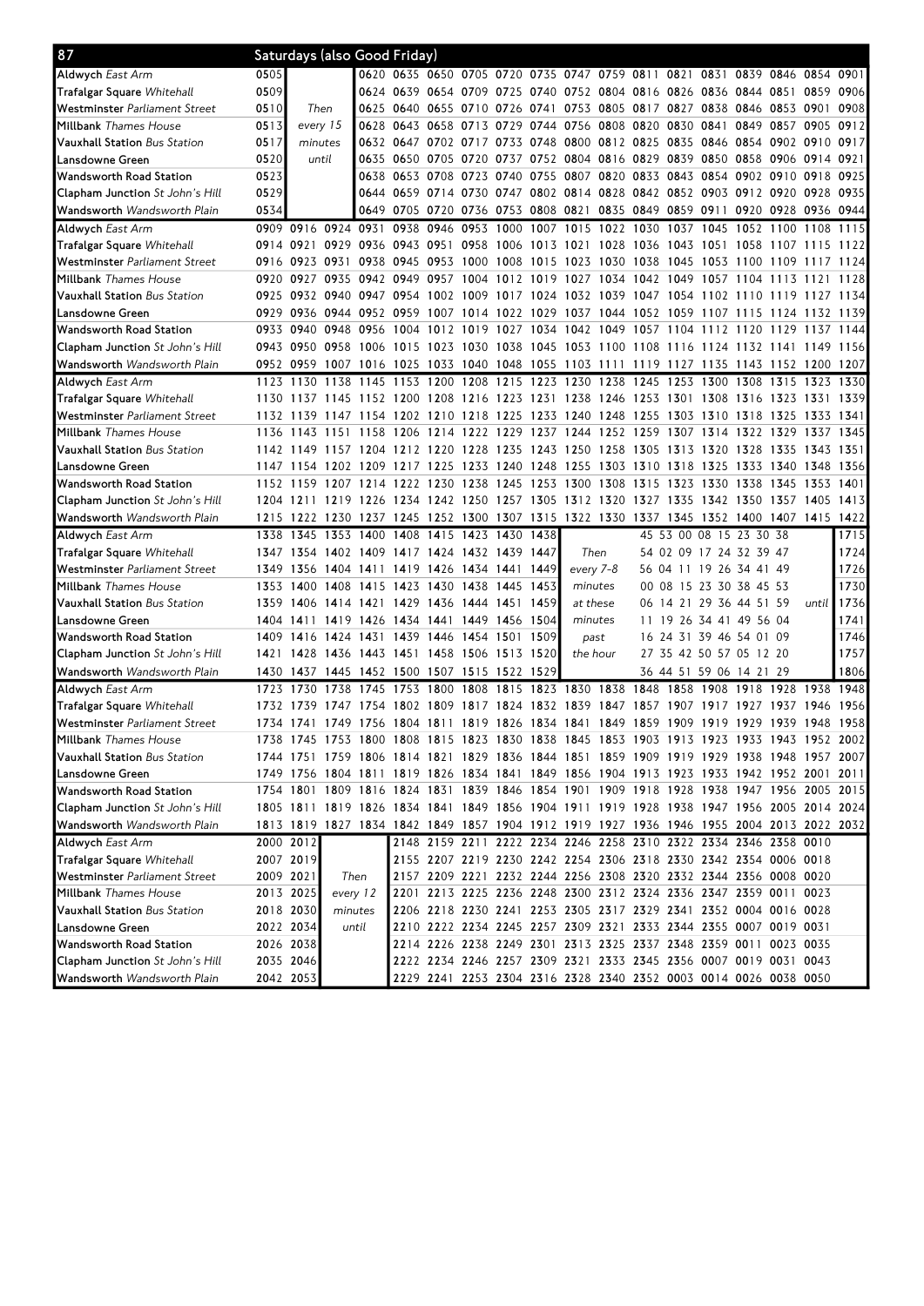| 87                                                                           |           | Saturdays (also Good Friday) |      |                          |                                                                                           |           |                     |      |      |                                                                                                                                      |      |           |                         |                          |                |                |           |       |
|------------------------------------------------------------------------------|-----------|------------------------------|------|--------------------------|-------------------------------------------------------------------------------------------|-----------|---------------------|------|------|--------------------------------------------------------------------------------------------------------------------------------------|------|-----------|-------------------------|--------------------------|----------------|----------------|-----------|-------|
| Aldwych <i>East Arm</i>                                                      | 0505      |                              |      |                          | 0620 0635 0650 0705 0720 0735 0747 0759 0811 0821                                         |           |                     |      |      |                                                                                                                                      |      |           |                         | 0831                     | 0839 0846 0854 |                |           | 0901  |
| Trafalgar Square Whitehall                                                   | 0509      |                              |      |                          | 0624 0639 0654 0709 0725 0740 0752 0804 0816 0826 0836 0844 0851                          |           |                     |      |      |                                                                                                                                      |      |           |                         |                          |                |                | 0859      | 0906  |
| Westminster <i>Parliament Street</i>                                         | 0510      | Then                         |      | 0625                     | 0640 0655 0710 0726 0741                                                                  |           |                     |      |      | 0753 0805 0817 0827 0838 0846 0853 0901                                                                                              |      |           |                         |                          |                |                |           | 0908  |
| Millbank <i>Thames House</i>                                                 | 0513      | every 15                     |      | 0628                     | 0643 0658 0713                                                                            |           |                     |      |      | 0729 0744 0756 0808 0820                                                                                                             |      |           | 0830 0841               |                          |                | 0849 0857 0905 |           | 0912  |
| <b>Vauxhall Station</b> Bus Station                                          | 0517      | minutes                      |      |                          | 0632 0647 0702 0717 0733 0748 0800 0812 0825 0835 0846 0854 0902 0910 0917                |           |                     |      |      |                                                                                                                                      |      |           |                         |                          |                |                |           |       |
| Lansdowne Green                                                              | 0520      | until                        |      |                          | 0635 0650 0705 0720 0737 0752 0804 0816 0829                                              |           |                     |      |      |                                                                                                                                      |      |           |                         | 0839 0850 0858 0906 0914 |                |                |           | 0921  |
| Wandsworth Road Station                                                      | 0523      |                              |      |                          | 0638 0653 0708 0723 0740 0755                                                             |           |                     |      |      | 0807 0820 0833 0843 0854                                                                                                             |      |           |                         |                          | 0902 0910 0918 |                |           | 0925  |
| <b>Clapham Junction</b> St John's Hill                                       | 0529      |                              |      |                          | 0644 0659 0714 0730 0747 0802 0814 0828 0842 0852 0903 0912 0920 0928                     |           |                     |      |      |                                                                                                                                      |      |           |                         |                          |                |                |           | 0935  |
| <b>Wandsworth</b> Wandsworth Plain                                           | 0534      |                              |      |                          | 0649 0705 0720 0736 0753 0808 0821 0835 0849                                              |           |                     |      |      |                                                                                                                                      |      |           | 0859 0911               |                          |                | 0920 0928 0936 |           | 0944  |
| Aldwych East Arm                                                             |           | 0909 0916 0924 0931          |      |                          | 0938                                                                                      | 0946 0953 |                     | 1000 |      | 1007 1015 1022 1030                                                                                                                  |      |           |                         | 1037 1045 1052 1100      |                |                | 1108      | 1115  |
| Trafalgar Square Whitehall                                                   | 0914 0921 |                              |      |                          | 0929 0936 0943 0951 0958 1006 1013 1021 1028 1036 1043 1051 1058 1107 1115 1122           |           |                     |      |      |                                                                                                                                      |      |           |                         |                          |                |                |           |       |
| Westminster <i>Parliament Street</i>                                         |           | 0916 0923                    | 0931 |                          | 0938 0945 0953 1000 1008 1015 1023 1030 1038                                              |           |                     |      |      |                                                                                                                                      |      |           |                         | 1045 1053 1100 1109 1117 |                |                |           | 1124  |
| Millbank <i>Thames House</i>                                                 |           | 0920 0927                    |      |                          | 0935 0942 0949 0957 1004 1012 1019 1027 1034 1042 1049 1057                               |           |                     |      |      |                                                                                                                                      |      |           |                         |                          | 1104           | 1113           | 1121      | 1128  |
| <b>Vauxhall Station</b> Bus Station                                          |           | 0925 0932                    |      | 0940 0947 0954           |                                                                                           | 1002 1009 |                     |      |      | 1017 1024 1032 1039 1047 1054 1102 1110                                                                                              |      |           |                         |                          |                | 1119 1127      |           | 1134  |
| Lansdowne Green                                                              | 0929 0936 |                              |      | 0944 0952 0959           |                                                                                           |           |                     |      |      | 1007 1014 1022 1029 1037 1044 1052 1059 1107 1115 1124 1132                                                                          |      |           |                         |                          |                |                |           | 1139  |
| Wandsworth Road Station                                                      |           | 0933 0940                    |      | 0948 0956 1004           |                                                                                           |           |                     |      |      | 1012 1019 1027 1034 1042 1049 1057 1104 1112 1120 1129 1137                                                                          |      |           |                         |                          |                |                |           | 1144  |
| <b>Clapham Junction</b> St John's Hill                                       |           | 0943 0950                    |      |                          | 0958 1006 1015 1023 1030 1038 1045 1053 1100 1108 1116 1124 1132 1141 1149                |           |                     |      |      |                                                                                                                                      |      |           |                         |                          |                |                |           | 1156  |
| <b>Wandsworth</b> Wandsworth Plain                                           |           |                              |      |                          | 0952 0959 1007 1016 1025 1033 1040 1048 1055 1103 1111 1119 1127 1135 1143 1152 1200 1207 |           |                     |      |      |                                                                                                                                      |      |           |                         |                          |                |                |           |       |
| Aldwych <i>East Arm</i>                                                      |           |                              |      |                          | 1123 1130 1138 1145 1153 1200 1208 1215 1223 1230 1238 1245                               |           |                     |      |      |                                                                                                                                      |      |           |                         | 1253 1300 1308 1315 1323 |                |                |           | 1330  |
| Trafalgar Square Whitehall                                                   | 1130      | 1137                         | 1145 |                          | 1152 1200 1208 1216 1223 1231 1238 1246 1253                                              |           |                     |      |      |                                                                                                                                      |      |           | 1301                    | 1308 1316                |                | 1323           | 1331      | 1339  |
| Westminster <i>Parliament Street</i>                                         | 1132 1139 |                              |      |                          | 1147 1154 1202 1210 1218 1225 1233 1240 1248 1255                                         |           |                     |      |      |                                                                                                                                      |      |           |                         | 1303 1310 1318           |                | 1325           | 1333      | 1341  |
| Millbank <i>Thames House</i>                                                 | 1136      | 1143                         | 1151 | 1158                     | 1206                                                                                      | 1214 1222 |                     | 1229 |      | 1237 1244 1252 1259                                                                                                                  |      |           | 1307                    | 1314 1322                |                | 1329           | 1337      | 1345  |
| <b>Vauxhall Station</b> Bus Station                                          |           |                              |      |                          | 1142 1149 1157 1204 1212 1220 1228 1235 1243 1250 1258 1305                               |           |                     |      |      |                                                                                                                                      |      |           |                         | 1313 1320 1328 1335      |                |                | 1343 1351 |       |
| Lansdowne Green                                                              | 1147      |                              |      |                          | 1154 1202 1209 1217 1225 1233 1240 1248                                                   |           |                     |      |      | 1255 1303 1310 1318 1325 1333 1340 1348                                                                                              |      |           |                         |                          |                |                |           | 1356  |
| Wandsworth Road Station                                                      |           | 1152 1159                    | 1207 |                          | 1214 1222                                                                                 |           | 1230 1238 1245 1253 |      |      | 1300                                                                                                                                 | 1308 | 1315      |                         | 1323 1330 1338           |                | 1345           | 1353      | 1401  |
| <b>Clapham Junction</b> St John's Hill                                       | 1204 1211 |                              |      |                          | 1219 1226 1234 1242 1250 1257 1305                                                        |           |                     |      |      | 1312 1320                                                                                                                            |      | 1327 1335 |                         | 1342 1350 1357           |                |                | 1405      | 1413  |
| <b>Wandsworth</b> Wandsworth Plain                                           |           |                              |      | 1215 1222 1230 1237 1245 |                                                                                           |           | 1252 1300 1307 1315 |      |      | 1322 1330 1337 1345 1352 1400 1407 1415                                                                                              |      |           |                         |                          |                |                |           | 1422  |
|                                                                              |           |                              |      |                          |                                                                                           | 1415      | 1423 1430           |      | 1438 |                                                                                                                                      |      |           | 45 53 00 08 15 23 30 38 |                          |                |                |           | 1715  |
| Aldwych <i>East Arm</i>                                                      | 1338      | 1345                         | 1353 | 1400                     | 1408                                                                                      |           |                     |      |      |                                                                                                                                      |      |           |                         |                          |                |                |           |       |
| Trafalgar Square Whitehall                                                   |           |                              |      |                          | 1347 1354 1402 1409 1417 1424 1432 1439 1447                                              |           |                     |      |      | Then                                                                                                                                 |      |           |                         | 54 02 09 17 24 32 39 47  |                |                |           | 1724  |
| Westminster <i>Parliament Street</i>                                         | 1349      | 1356                         |      | 1404 1411 1419           |                                                                                           |           | 1426 1434 1441 1449 |      |      | every 7-8                                                                                                                            |      |           |                         | 56 04 11 19 26 34 41 49  |                |                |           | 1726  |
| Millbank <i>Thames House</i>                                                 |           | 1353 1400                    |      |                          | 1408 1415 1423 1430 1438 1445 1453                                                        |           |                     |      |      | minutes                                                                                                                              |      |           |                         | 00 08 15 23 30 38 45 53  |                |                |           | 1730  |
| <b>Vauxhall Station</b> Bus Station                                          |           | 1359 1406                    |      | 1414 1421 1429           |                                                                                           |           | 1436 1444 1451 1459 |      |      | at these                                                                                                                             |      |           |                         | 06 14 21 29 36 44 51 59  |                |                | until     | 1736  |
| Lansdowne Green                                                              | 1404 1411 |                              | 1419 |                          | 1426 1434 1441 1449 1456 1504                                                             |           |                     |      |      | minutes                                                                                                                              |      |           |                         | 11 19 26 34 41 49 56 04  |                |                |           | 1741  |
| Wandsworth Road Station                                                      |           | 1409 1416                    | 1424 | 1431                     | 1439                                                                                      | 1446      | 1454                | 1501 | 1509 | past                                                                                                                                 |      |           |                         | 16 24 31 39 46 54 01 09  |                |                |           | 1746  |
| <b>Clapham Junction</b> St John's Hill                                       | 1421      |                              |      |                          | 1428 1436 1443 1451 1458 1506 1513 1520                                                   |           |                     |      |      | the hour                                                                                                                             |      |           |                         | 27 35 42 50 57 05 12 20  |                |                |           | 1757  |
| <b>Wandsworth</b> Wandsworth Plain                                           |           |                              |      |                          | 1430 1437 1445 1452 1500 1507 1515 1522 1529                                              |           |                     |      |      |                                                                                                                                      |      |           |                         | 36 44 51 59 06 14 21 29  |                |                |           | 1806  |
| <b>Aldwych</b> East Arm                                                      | 1723      | 1730                         |      | 1738 1745 1753           |                                                                                           | 1800      | 1808                |      |      | 1815 1823 1830 1838 1848                                                                                                             |      |           |                         | 1858 1908 1918 1928      |                |                | 1938      | 1948  |
| <b>Trafalgar Square</b> Whitehall                                            | 1732 1739 |                              | 1747 | 1754                     | 1802 1809                                                                                 |           | 1817 1824           |      | 1832 | 1839                                                                                                                                 | 1847 | 1857      | 1907                    | 1917                     | 1927           | 1937           | 1946      | 19561 |
| Westminster Parliament Street                                                |           |                              |      |                          | 1734 1741 1749 1756 1804 1811 1819 1826 1834 1841 1849 1859 1909 1919 1929 1939 1948      |           |                     |      |      |                                                                                                                                      |      |           |                         |                          |                |                |           | 1958  |
| Millbank Thames House                                                        |           |                              |      |                          | 1738 1745 1753 1800 1808 1815 1823 1830 1838 1845 1853 1903 1913 1923 1933 1943 1952 2002 |           |                     |      |      |                                                                                                                                      |      |           |                         |                          |                |                |           |       |
| <b>Vauxhall Station</b> Bus Station                                          |           |                              |      |                          | 1744 1751 1759 1806 1814 1821 1829 1836 1844 1851 1859 1909 1919 1929 1938 1948 1957 2007 |           |                     |      |      |                                                                                                                                      |      |           |                         |                          |                |                |           |       |
| Lansdowne Green                                                              |           |                              |      |                          | 1749 1756 1804 1811 1819 1826 1834 1841 1849 1856 1904 1913 1923 1933 1942 1952 2001 2011 |           |                     |      |      |                                                                                                                                      |      |           |                         |                          |                |                |           |       |
| Wandsworth Road Station                                                      |           |                              |      |                          | 1754 1801 1809 1816 1824 1831 1839 1846 1854 1901 1909 1918 1928 1938 1947 1956 2005 2015 |           |                     |      |      |                                                                                                                                      |      |           |                         |                          |                |                |           |       |
| <b>Clapham Junction</b> St John's Hill                                       |           |                              |      |                          | 1805 1811 1819 1826 1834 1841 1849 1856 1904 1911 1919 1928 1938 1947 1956 2005 2014 2024 |           |                     |      |      |                                                                                                                                      |      |           |                         |                          |                |                |           |       |
| <b>Wandsworth</b> Wandsworth Plain                                           |           |                              |      |                          | 1813 1819 1827 1834 1842 1849 1857 1904 1912 1919 1927 1936 1946 1955 2004 2013 2022 2032 |           |                     |      |      |                                                                                                                                      |      |           |                         |                          |                |                |           |       |
| Aldwych <i>East Arm</i>                                                      |           | 2000 2012                    |      |                          |                                                                                           |           |                     |      |      | 2148 2159 2211 2222 2234 2246 2258 2310 2322 2334 2346 2358 0010                                                                     |      |           |                         |                          |                |                |           |       |
| Trafalgar Square Whitehall                                                   |           | 2007 2019                    |      |                          |                                                                                           |           |                     |      |      | 2155 2207 2219 2230 2242 2254 2306 2318 2330 2342 2354 0006 0018                                                                     |      |           |                         |                          |                |                |           |       |
| Westminster Parliament Street                                                |           | 2009 2021                    |      | Then                     |                                                                                           |           |                     |      |      | 2157 2209 2221 2232 2244 2256 2308 2320 2332 2344 2356 0008 0020                                                                     |      |           |                         |                          |                |                |           |       |
| Millbank <i>Thames House</i>                                                 |           |                              |      | every 12                 |                                                                                           |           |                     |      |      | 2201 2213 2225 2236 2248 2300 2312 2324 2336 2347 2359 0011 0023                                                                     |      |           |                         |                          |                |                |           |       |
| <b>Vauxhall Station</b> Bus Station                                          |           | 2013 2025                    |      | minutes                  |                                                                                           |           |                     |      |      | 2206 2218 2230 2241 2253 2305 2317 2329 2341 2352 0004 0016 0028                                                                     |      |           |                         |                          |                |                |           |       |
| Lansdowne Green                                                              |           | 2018 2030                    |      | until                    |                                                                                           |           |                     |      |      | 2210 2222 2234 2245 2257 2309 2321 2333 2344 2355 0007 0019 0031                                                                     |      |           |                         |                          |                |                |           |       |
| Wandsworth Road Station                                                      |           | 2022 2034                    |      |                          |                                                                                           |           |                     |      |      | 2214 2226 2238 2249 2301 2313 2325 2337 2348 2359 0011 0023 0035                                                                     |      |           |                         |                          |                |                |           |       |
|                                                                              |           | 2026 2038                    |      |                          |                                                                                           |           |                     |      |      |                                                                                                                                      |      |           |                         |                          |                |                |           |       |
| <b>Clapham Junction</b> St John's Hill<br><b>Wandsworth</b> Wandsworth Plain |           | 2035 2046<br>2042 2053       |      |                          |                                                                                           |           |                     |      |      | 2222 2234 2246 2257 2309 2321 2333 2345 2356 0007 0019 0031 0043<br>2229 2241 2253 2304 2316 2328 2340 2352 0003 0014 0026 0038 0050 |      |           |                         |                          |                |                |           |       |